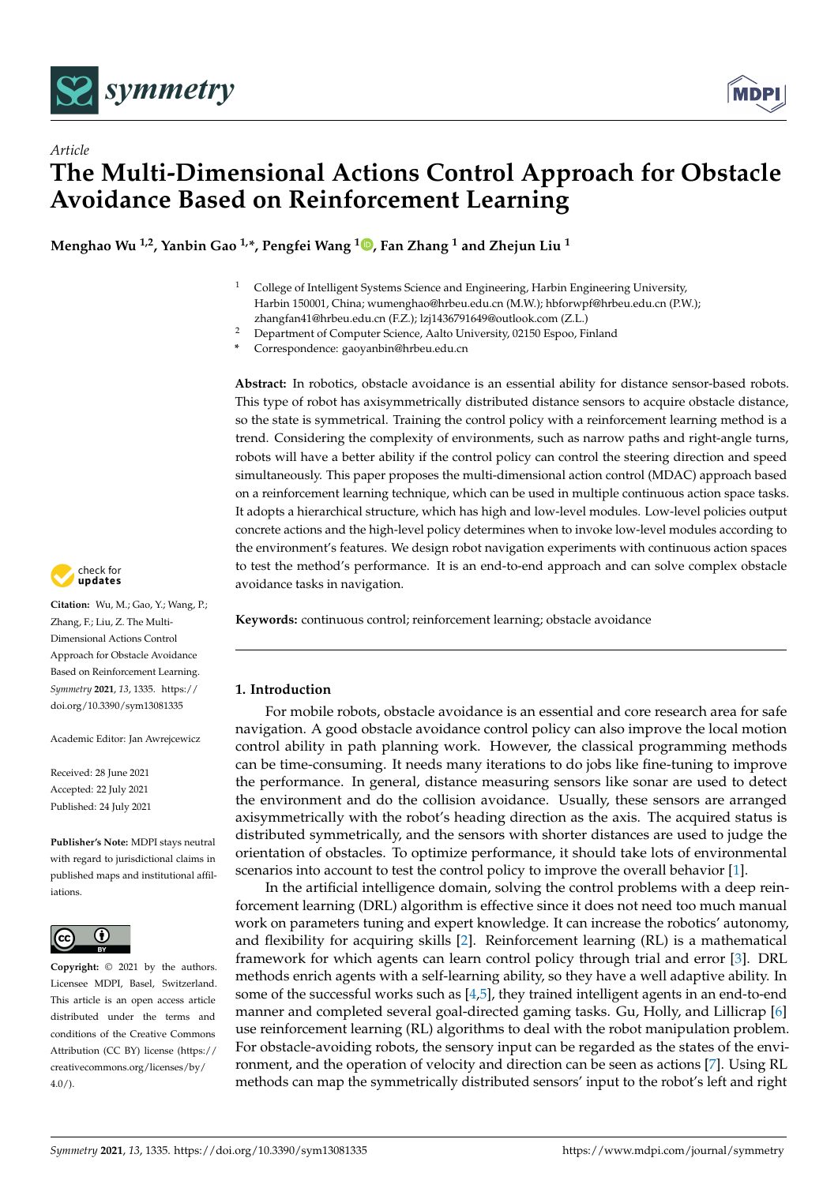



**Menghao Wu 1,2, Yanbin Gao 1,\*, Pengfei Wang <sup>1</sup> [,](https://orcid.org/0000-0002-1899-8134) Fan Zhang <sup>1</sup> and Zhejun Liu <sup>1</sup>**

- <sup>1</sup> College of Intelligent Systems Science and Engineering, Harbin Engineering University, Harbin 150001, China; wumenghao@hrbeu.edu.cn (M.W.); hbforwpf@hrbeu.edu.cn (P.W.); zhangfan41@hrbeu.edu.cn (F.Z.); lzj1436791649@outlook.com (Z.L.)
- <sup>2</sup> Department of Computer Science, Aalto University, 02150 Espoo, Finland

**\*** Correspondence: gaoyanbin@hrbeu.edu.cn

**Abstract:** In robotics, obstacle avoidance is an essential ability for distance sensor-based robots. This type of robot has axisymmetrically distributed distance sensors to acquire obstacle distance, so the state is symmetrical. Training the control policy with a reinforcement learning method is a trend. Considering the complexity of environments, such as narrow paths and right-angle turns, robots will have a better ability if the control policy can control the steering direction and speed simultaneously. This paper proposes the multi-dimensional action control (MDAC) approach based on a reinforcement learning technique, which can be used in multiple continuous action space tasks. It adopts a hierarchical structure, which has high and low-level modules. Low-level policies output concrete actions and the high-level policy determines when to invoke low-level modules according to the environment's features. We design robot navigation experiments with continuous action spaces to test the method's performance. It is an end-to-end approach and can solve complex obstacle avoidance tasks in navigation.

**Keywords:** continuous control; reinforcement learning; obstacle avoidance

# **1. Introduction**

For mobile robots, obstacle avoidance is an essential and core research area for safe navigation. A good obstacle avoidance control policy can also improve the local motion control ability in path planning work. However, the classical programming methods can be time-consuming. It needs many iterations to do jobs like fine-tuning to improve the performance. In general, distance measuring sensors like sonar are used to detect the environment and do the collision avoidance. Usually, these sensors are arranged axisymmetrically with the robot's heading direction as the axis. The acquired status is distributed symmetrically, and the sensors with shorter distances are used to judge the orientation of obstacles. To optimize performance, it should take lots of environmental scenarios into account to test the control policy to improve the overall behavior [\[1\]](#page-18-0).

In the artificial intelligence domain, solving the control problems with a deep reinforcement learning (DRL) algorithm is effective since it does not need too much manual work on parameters tuning and expert knowledge. It can increase the robotics' autonomy, and flexibility for acquiring skills [\[2\]](#page-18-1). Reinforcement learning (RL) is a mathematical framework for which agents can learn control policy through trial and error [\[3\]](#page-18-2). DRL methods enrich agents with a self-learning ability, so they have a well adaptive ability. In some of the successful works such as  $[4,5]$  $[4,5]$ , they trained intelligent agents in an end-to-end manner and completed several goal-directed gaming tasks. Gu, Holly, and Lillicrap [\[6\]](#page-18-5) use reinforcement learning (RL) algorithms to deal with the robot manipulation problem. For obstacle-avoiding robots, the sensory input can be regarded as the states of the environment, and the operation of velocity and direction can be seen as actions [\[7\]](#page-18-6). Using RL methods can map the symmetrically distributed sensors' input to the robot's left and right



**Citation:** Wu, M.; Gao, Y.; Wang, P.; Zhang, F.; Liu, Z. The Multi-Dimensional Actions Control Approach for Obstacle Avoidance Based on Reinforcement Learning. *Symmetry* **2021**, *13*, 1335. [https://](https://doi.org/10.3390/sym13081335) [doi.org/10.3390/sym13081335](https://doi.org/10.3390/sym13081335)

Academic Editor: Jan Awrejcewicz

Received: 28 June 2021 Accepted: 22 July 2021 Published: 24 July 2021

**Publisher's Note:** MDPI stays neutral with regard to jurisdictional claims in published maps and institutional affiliations.



**Copyright:** © 2021 by the authors. Licensee MDPI, Basel, Switzerland. This article is an open access article distributed under the terms and conditions of the Creative Commons Attribution (CC BY) license (https:/[/](https://creativecommons.org/licenses/by/4.0/) [creativecommons.org/licenses/by/](https://creativecommons.org/licenses/by/4.0/)  $4.0/$ ).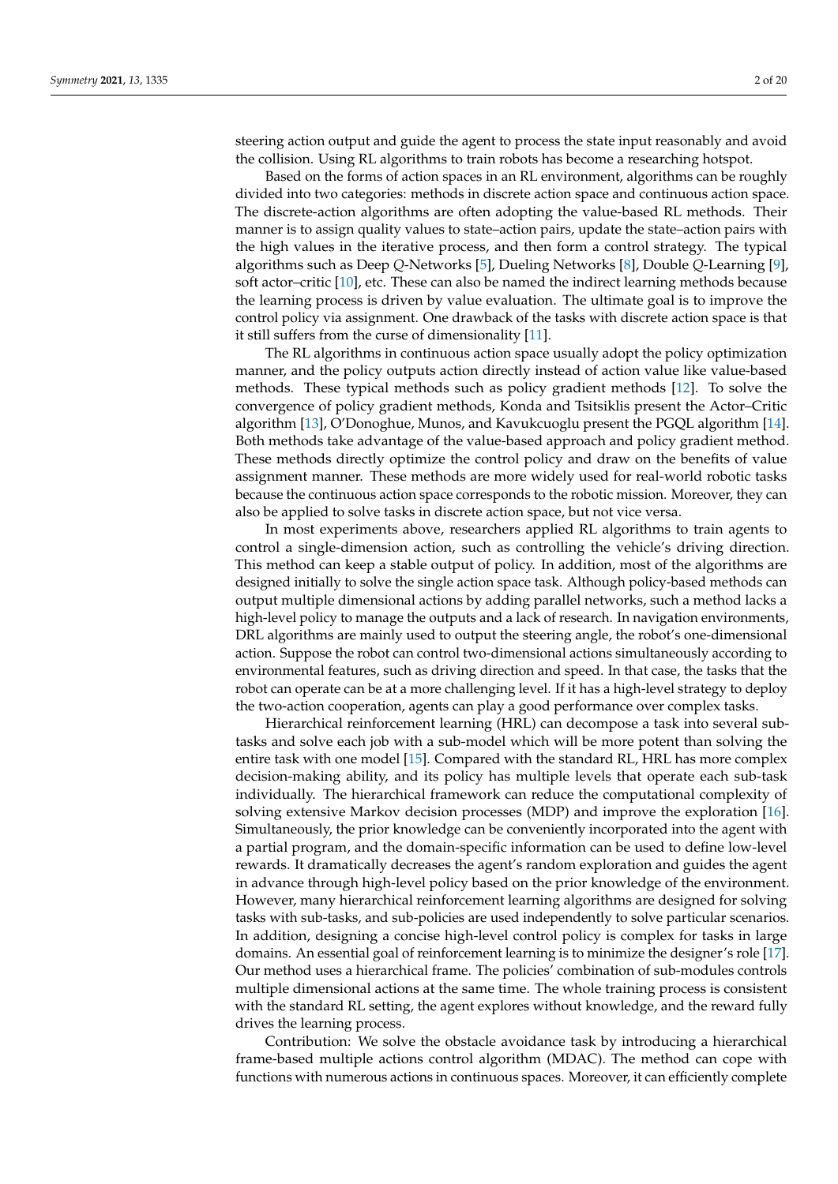steering action output and guide the agent to process the state input reasonably and avoid the collision. Using RL algorithms to train robots has become a researching hotspot.

Based on the forms of action spaces in an RL environment, algorithms can be roughly divided into two categories: methods in discrete action space and continuous action space. The discrete-action algorithms are often adopting the value-based RL methods. Their manner is to assign quality values to state–action pairs, update the state–action pairs with the high values in the iterative process, and then form a control strategy. The typical algorithms such as Deep *Q*-Networks [\[5\]](#page-18-4), Dueling Networks [\[8\]](#page-18-7), Double *Q*-Learning [\[9\]](#page-18-8), soft actor–critic [\[10\]](#page-18-9), etc. These can also be named the indirect learning methods because the learning process is driven by value evaluation. The ultimate goal is to improve the control policy via assignment. One drawback of the tasks with discrete action space is that it still suffers from the curse of dimensionality [\[11\]](#page-18-10).

The RL algorithms in continuous action space usually adopt the policy optimization manner, and the policy outputs action directly instead of action value like value-based methods. These typical methods such as policy gradient methods [\[12\]](#page-18-11). To solve the convergence of policy gradient methods, Konda and Tsitsiklis present the Actor–Critic algorithm [\[13\]](#page-18-12), O'Donoghue, Munos, and Kavukcuoglu present the PGQL algorithm [\[14\]](#page-18-13). Both methods take advantage of the value-based approach and policy gradient method. These methods directly optimize the control policy and draw on the benefits of value assignment manner. These methods are more widely used for real-world robotic tasks because the continuous action space corresponds to the robotic mission. Moreover, they can also be applied to solve tasks in discrete action space, but not vice versa.

In most experiments above, researchers applied RL algorithms to train agents to control a single-dimension action, such as controlling the vehicle's driving direction. This method can keep a stable output of policy. In addition, most of the algorithms are designed initially to solve the single action space task. Although policy-based methods can output multiple dimensional actions by adding parallel networks, such a method lacks a high-level policy to manage the outputs and a lack of research. In navigation environments, DRL algorithms are mainly used to output the steering angle, the robot's one-dimensional action. Suppose the robot can control two-dimensional actions simultaneously according to environmental features, such as driving direction and speed. In that case, the tasks that the robot can operate can be at a more challenging level. If it has a high-level strategy to deploy the two-action cooperation, agents can play a good performance over complex tasks.

Hierarchical reinforcement learning (HRL) can decompose a task into several subtasks and solve each job with a sub-model which will be more potent than solving the entire task with one model [\[15\]](#page-18-14). Compared with the standard RL, HRL has more complex decision-making ability, and its policy has multiple levels that operate each sub-task individually. The hierarchical framework can reduce the computational complexity of solving extensive Markov decision processes (MDP) and improve the exploration [\[16\]](#page-18-15). Simultaneously, the prior knowledge can be conveniently incorporated into the agent with a partial program, and the domain-specific information can be used to define low-level rewards. It dramatically decreases the agent's random exploration and guides the agent in advance through high-level policy based on the prior knowledge of the environment. However, many hierarchical reinforcement learning algorithms are designed for solving tasks with sub-tasks, and sub-policies are used independently to solve particular scenarios. In addition, designing a concise high-level control policy is complex for tasks in large domains. An essential goal of reinforcement learning is to minimize the designer's role [\[17\]](#page-19-0). Our method uses a hierarchical frame. The policies' combination of sub-modules controls multiple dimensional actions at the same time. The whole training process is consistent with the standard RL setting, the agent explores without knowledge, and the reward fully drives the learning process.

Contribution: We solve the obstacle avoidance task by introducing a hierarchical frame-based multiple actions control algorithm (MDAC). The method can cope with functions with numerous actions in continuous spaces. Moreover, it can efficiently complete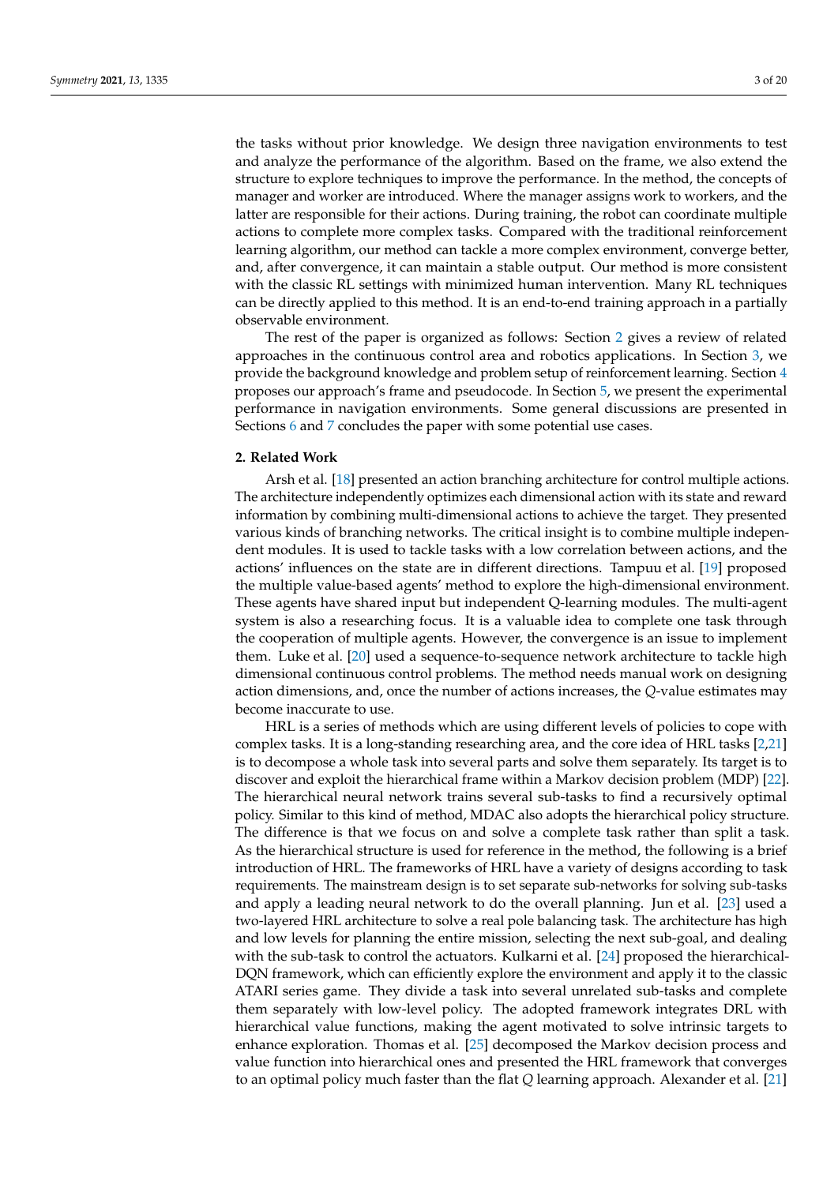the tasks without prior knowledge. We design three navigation environments to test and analyze the performance of the algorithm. Based on the frame, we also extend the structure to explore techniques to improve the performance. In the method, the concepts of manager and worker are introduced. Where the manager assigns work to workers, and the latter are responsible for their actions. During training, the robot can coordinate multiple actions to complete more complex tasks. Compared with the traditional reinforcement learning algorithm, our method can tackle a more complex environment, converge better, and, after convergence, it can maintain a stable output. Our method is more consistent with the classic RL settings with minimized human intervention. Many RL techniques can be directly applied to this method. It is an end-to-end training approach in a partially observable environment.

The rest of the paper is organized as follows: Section [2](#page-2-0) gives a review of related approaches in the continuous control area and robotics applications. In Section [3,](#page-3-0) we provide the background knowledge and problem setup of reinforcement learning. Section [4](#page-5-0) proposes our approach's frame and pseudocode. In Section [5,](#page-8-0) we present the experimental performance in navigation environments. Some general discussions are presented in Sections [6](#page-16-0) and [7](#page-17-0) concludes the paper with some potential use cases.

### <span id="page-2-0"></span>**2. Related Work**

Arsh et al. [\[18\]](#page-19-1) presented an action branching architecture for control multiple actions. The architecture independently optimizes each dimensional action with its state and reward information by combining multi-dimensional actions to achieve the target. They presented various kinds of branching networks. The critical insight is to combine multiple independent modules. It is used to tackle tasks with a low correlation between actions, and the actions' influences on the state are in different directions. Tampuu et al. [\[19\]](#page-19-2) proposed the multiple value-based agents' method to explore the high-dimensional environment. These agents have shared input but independent Q-learning modules. The multi-agent system is also a researching focus. It is a valuable idea to complete one task through the cooperation of multiple agents. However, the convergence is an issue to implement them. Luke et al. [\[20\]](#page-19-3) used a sequence-to-sequence network architecture to tackle high dimensional continuous control problems. The method needs manual work on designing action dimensions, and, once the number of actions increases, the *Q*-value estimates may become inaccurate to use.

HRL is a series of methods which are using different levels of policies to cope with complex tasks. It is a long-standing researching area, and the core idea of HRL tasks [\[2,](#page-18-1)[21\]](#page-19-4) is to decompose a whole task into several parts and solve them separately. Its target is to discover and exploit the hierarchical frame within a Markov decision problem (MDP) [\[22\]](#page-19-5). The hierarchical neural network trains several sub-tasks to find a recursively optimal policy. Similar to this kind of method, MDAC also adopts the hierarchical policy structure. The difference is that we focus on and solve a complete task rather than split a task. As the hierarchical structure is used for reference in the method, the following is a brief introduction of HRL. The frameworks of HRL have a variety of designs according to task requirements. The mainstream design is to set separate sub-networks for solving sub-tasks and apply a leading neural network to do the overall planning. Jun et al. [\[23\]](#page-19-6) used a two-layered HRL architecture to solve a real pole balancing task. The architecture has high and low levels for planning the entire mission, selecting the next sub-goal, and dealing with the sub-task to control the actuators. Kulkarni et al. [\[24\]](#page-19-7) proposed the hierarchical-DQN framework, which can efficiently explore the environment and apply it to the classic ATARI series game. They divide a task into several unrelated sub-tasks and complete them separately with low-level policy. The adopted framework integrates DRL with hierarchical value functions, making the agent motivated to solve intrinsic targets to enhance exploration. Thomas et al. [\[25\]](#page-19-8) decomposed the Markov decision process and value function into hierarchical ones and presented the HRL framework that converges to an optimal policy much faster than the flat *Q* learning approach. Alexander et al. [\[21\]](#page-19-4)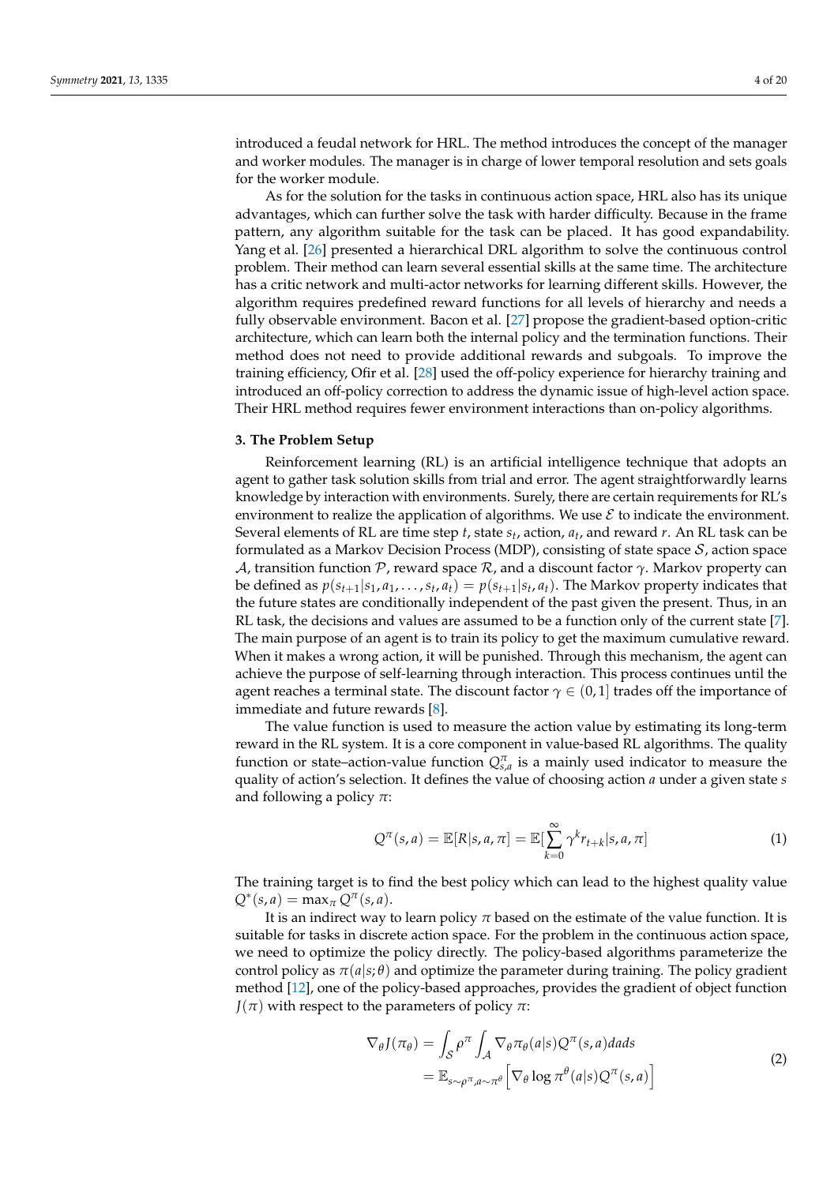introduced a feudal network for HRL. The method introduces the concept of the manager and worker modules. The manager is in charge of lower temporal resolution and sets goals for the worker module.

As for the solution for the tasks in continuous action space, HRL also has its unique advantages, which can further solve the task with harder difficulty. Because in the frame pattern, any algorithm suitable for the task can be placed. It has good expandability. Yang et al. [\[26\]](#page-19-9) presented a hierarchical DRL algorithm to solve the continuous control problem. Their method can learn several essential skills at the same time. The architecture has a critic network and multi-actor networks for learning different skills. However, the algorithm requires predefined reward functions for all levels of hierarchy and needs a fully observable environment. Bacon et al. [\[27\]](#page-19-10) propose the gradient-based option-critic architecture, which can learn both the internal policy and the termination functions. Their method does not need to provide additional rewards and subgoals. To improve the training efficiency, Ofir et al. [\[28\]](#page-19-11) used the off-policy experience for hierarchy training and introduced an off-policy correction to address the dynamic issue of high-level action space. Their HRL method requires fewer environment interactions than on-policy algorithms.

### <span id="page-3-0"></span>**3. The Problem Setup**

Reinforcement learning (RL) is an artificial intelligence technique that adopts an agent to gather task solution skills from trial and error. The agent straightforwardly learns knowledge by interaction with environments. Surely, there are certain requirements for RL's environment to realize the application of algorithms. We use  $\mathcal E$  to indicate the environment. Several elements of RL are time step *t*, state *s<sup>t</sup>* , action, *a<sup>t</sup>* , and reward *r*. An RL task can be formulated as a Markov Decision Process (MDP), consisting of state space  $S$ , action space A, transition function P, reward space R, and a discount factor *γ*. Markov property can be defined as  $p(s_{t+1}|s_1, a_1, \ldots, s_t, a_t) = p(s_{t+1}|s_t, a_t)$ . The Markov property indicates that the future states are conditionally independent of the past given the present. Thus, in an RL task, the decisions and values are assumed to be a function only of the current state [\[7\]](#page-18-6). The main purpose of an agent is to train its policy to get the maximum cumulative reward. When it makes a wrong action, it will be punished. Through this mechanism, the agent can achieve the purpose of self-learning through interaction. This process continues until the agent reaches a terminal state. The discount factor  $\gamma \in (0,1]$  trades off the importance of immediate and future rewards [\[8\]](#page-18-7).

The value function is used to measure the action value by estimating its long-term reward in the RL system. It is a core component in value-based RL algorithms. The quality function or state–action-value function  $Q_{s,a}^{\pi}$  is a mainly used indicator to measure the quality of action's selection. It defines the value of choosing action *a* under a given state *s* and following a policy *π*:

$$
Q^{\pi}(s,a) = \mathbb{E}[R|s,a,\pi] = \mathbb{E}[\sum_{k=0}^{\infty} \gamma^k r_{t+k}|s,a,\pi]
$$
 (1)

The training target is to find the best policy which can lead to the highest quality value  $Q^*(s, a) = \max_{\pi} Q^{\pi}(s, a).$ 

It is an indirect way to learn policy  $\pi$  based on the estimate of the value function. It is suitable for tasks in discrete action space. For the problem in the continuous action space, we need to optimize the policy directly. The policy-based algorithms parameterize the control policy as  $\pi(a|s;\theta)$  and optimize the parameter during training. The policy gradient method [\[12\]](#page-18-11), one of the policy-based approaches, provides the gradient of object function  $J(\pi)$  with respect to the parameters of policy  $\pi$ :

$$
\nabla_{\theta} J(\pi_{\theta}) = \int_{\mathcal{S}} \rho^{\pi} \int_{\mathcal{A}} \nabla_{\theta} \pi_{\theta}(a|s) Q^{\pi}(s, a) da ds \n= \mathbb{E}_{s \sim \rho^{\pi}, a \sim \pi^{\theta}} \left[ \nabla_{\theta} \log \pi^{\theta}(a|s) Q^{\pi}(s, a) \right]
$$
\n(2)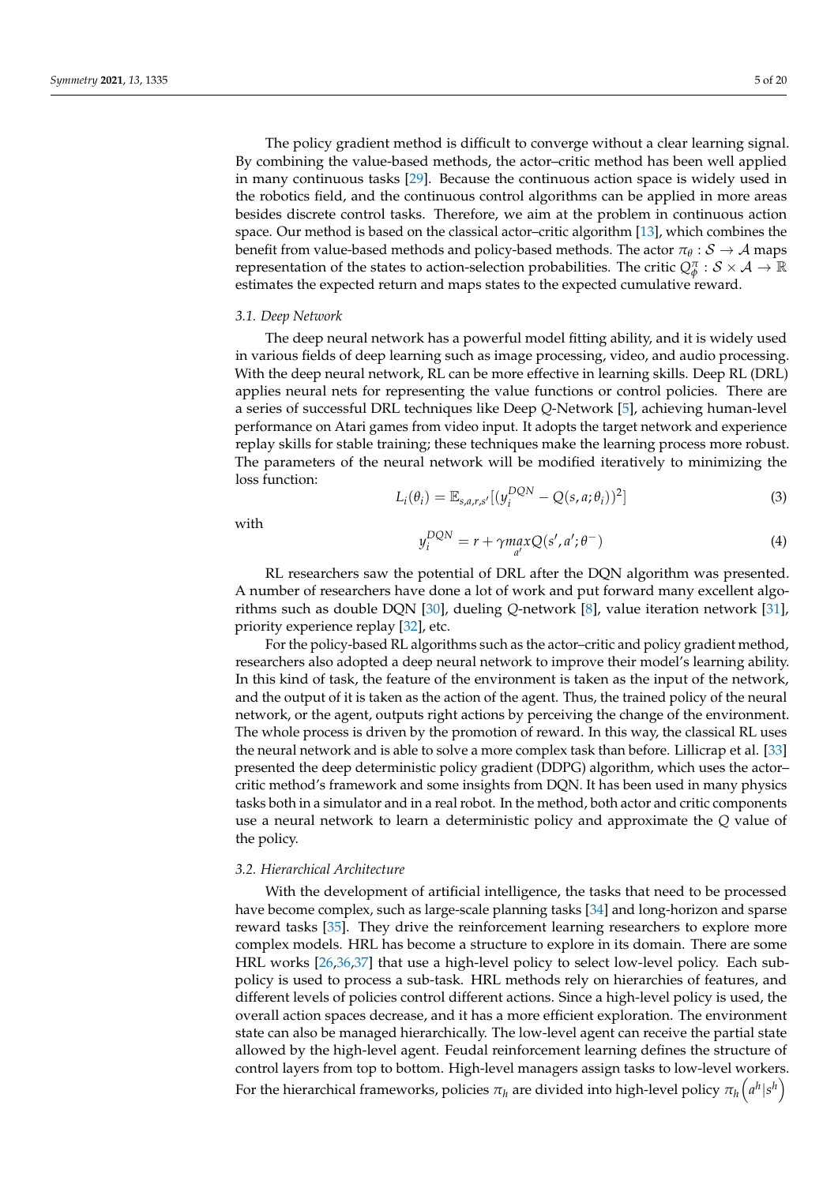The policy gradient method is difficult to converge without a clear learning signal. By combining the value-based methods, the actor–critic method has been well applied in many continuous tasks [\[29\]](#page-19-12). Because the continuous action space is widely used in the robotics field, and the continuous control algorithms can be applied in more areas besides discrete control tasks. Therefore, we aim at the problem in continuous action space. Our method is based on the classical actor–critic algorithm [\[13\]](#page-18-12), which combines the benefit from value-based methods and policy-based methods. The actor  $\pi_\theta: \mathcal{S} \to \mathcal{A}$  maps representation of the states to action-selection probabilities. The critic  $Q_\phi^\pi: \mathcal{S} \times \mathcal{A} \to \mathbb{R}$ estimates the expected return and maps states to the expected cumulative reward.

#### *3.1. Deep Network*

The deep neural network has a powerful model fitting ability, and it is widely used in various fields of deep learning such as image processing, video, and audio processing. With the deep neural network, RL can be more effective in learning skills. Deep RL (DRL) applies neural nets for representing the value functions or control policies. There are a series of successful DRL techniques like Deep *Q*-Network [\[5\]](#page-18-4), achieving human-level performance on Atari games from video input. It adopts the target network and experience replay skills for stable training; these techniques make the learning process more robust. The parameters of the neural network will be modified iteratively to minimizing the loss function:

$$
L_i(\theta_i) = \mathbb{E}_{s,a,r,s'}[(y_i^{DQN} - Q(s,a;\theta_i))^2]
$$
\n(3)

with

$$
y_i^{DQN} = r + \gamma \max_{a'} Q(s', a'; \theta^{-})
$$
\n(4)

RL researchers saw the potential of DRL after the DQN algorithm was presented. A number of researchers have done a lot of work and put forward many excellent algorithms such as double DQN [\[30\]](#page-19-13), dueling *Q*-network [\[8\]](#page-18-7), value iteration network [\[31\]](#page-19-14), priority experience replay [\[32\]](#page-19-15), etc.

For the policy-based RL algorithms such as the actor–critic and policy gradient method, researchers also adopted a deep neural network to improve their model's learning ability. In this kind of task, the feature of the environment is taken as the input of the network, and the output of it is taken as the action of the agent. Thus, the trained policy of the neural network, or the agent, outputs right actions by perceiving the change of the environment. The whole process is driven by the promotion of reward. In this way, the classical RL uses the neural network and is able to solve a more complex task than before. Lillicrap et al. [\[33\]](#page-19-16) presented the deep deterministic policy gradient (DDPG) algorithm, which uses the actor– critic method's framework and some insights from DQN. It has been used in many physics tasks both in a simulator and in a real robot. In the method, both actor and critic components use a neural network to learn a deterministic policy and approximate the *Q* value of the policy.

### *3.2. Hierarchical Architecture*

With the development of artificial intelligence, the tasks that need to be processed have become complex, such as large-scale planning tasks [\[34\]](#page-19-17) and long-horizon and sparse reward tasks [\[35\]](#page-19-18). They drive the reinforcement learning researchers to explore more complex models. HRL has become a structure to explore in its domain. There are some HRL works [\[26](#page-19-9)[,36](#page-19-19)[,37\]](#page-19-20) that use a high-level policy to select low-level policy. Each subpolicy is used to process a sub-task. HRL methods rely on hierarchies of features, and different levels of policies control different actions. Since a high-level policy is used, the overall action spaces decrease, and it has a more efficient exploration. The environment state can also be managed hierarchically. The low-level agent can receive the partial state allowed by the high-level agent. Feudal reinforcement learning defines the structure of control layers from top to bottom. High-level managers assign tasks to low-level workers. For the hierarchical frameworks, policies  $\pi_h$  are divided into high-level policy  $\pi_h\left(\mathbf{a}^h|\mathbf{s}^h\right)$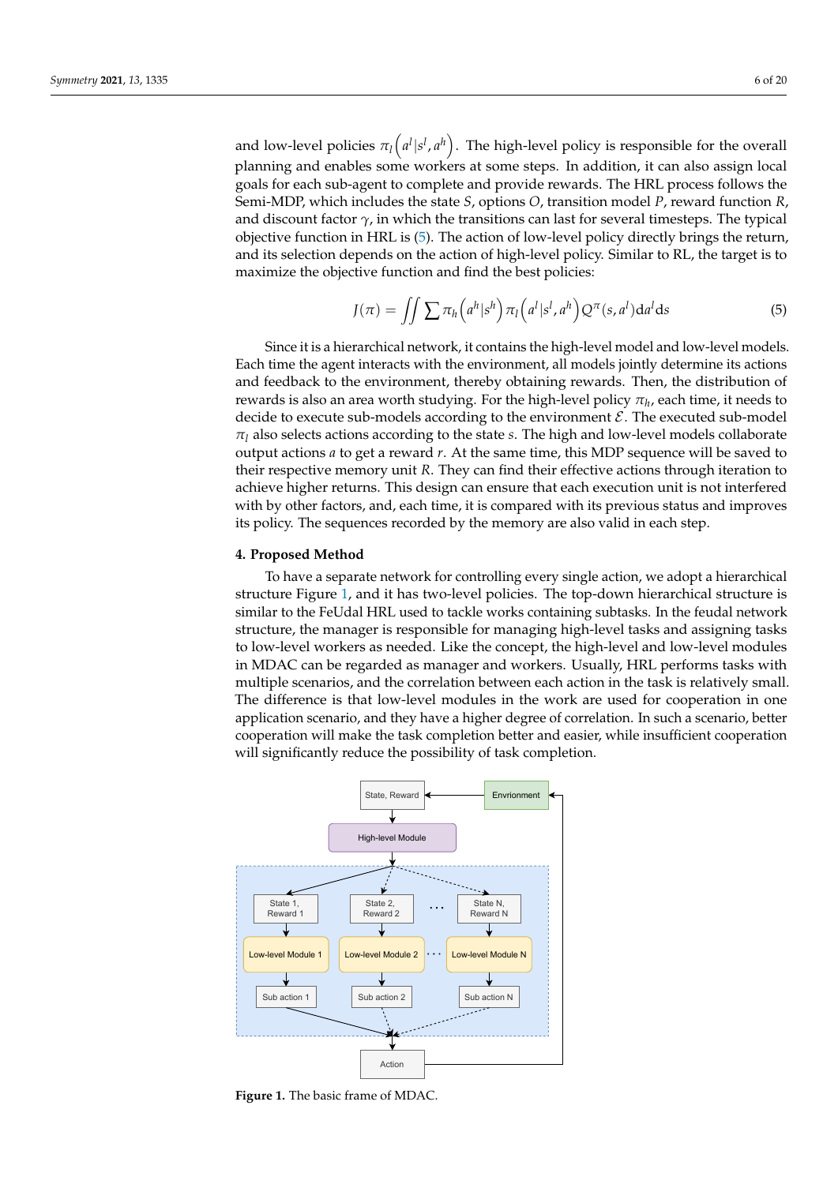and low-level policies  $\pi_l\big({a}^l | s^l, {a}^h\big).$  The high-level policy is responsible for the overall planning and enables some workers at some steps. In addition, it can also assign local goals for each sub-agent to complete and provide rewards. The HRL process follows the Semi-MDP, which includes the state *S*, options *O*, transition model *P*, reward function *R*, and discount factor  $\gamma$ , in which the transitions can last for several timesteps. The typical objective function in HRL is [\(5\)](#page-5-1). The action of low-level policy directly brings the return, and its selection depends on the action of high-level policy. Similar to RL, the target is to maximize the objective function and find the best policies:

<span id="page-5-1"></span>
$$
J(\pi) = \iint \sum \pi_h \left( a^h | s^h \right) \pi_l \left( a^l | s^l, a^h \right) Q^{\pi}(s, a^l) da^l ds \tag{5}
$$

Since it is a hierarchical network, it contains the high-level model and low-level models. Each time the agent interacts with the environment, all models jointly determine its actions and feedback to the environment, thereby obtaining rewards. Then, the distribution of rewards is also an area worth studying. For the high-level policy  $\pi_h$ , each time, it needs to decide to execute sub-models according to the environment  $\mathcal E$ . The executed sub-model  $\pi_l$  also selects actions according to the state *s*. The high and low-level models collaborate output actions *a* to get a reward *r*. At the same time, this MDP sequence will be saved to their respective memory unit *R*. They can find their effective actions through iteration to achieve higher returns. This design can ensure that each execution unit is not interfered with by other factors, and, each time, it is compared with its previous status and improves its policy. The sequences recorded by the memory are also valid in each step.

#### <span id="page-5-0"></span>**4. Proposed Method**

To have a separate network for controlling every single action, we adopt a hierarchical structure Figure [1,](#page-5-2) and it has two-level policies. The top-down hierarchical structure is similar to the FeUdal HRL used to tackle works containing subtasks. In the feudal network structure, the manager is responsible for managing high-level tasks and assigning tasks to low-level workers as needed. Like the concept, the high-level and low-level modules in MDAC can be regarded as manager and workers. Usually, HRL performs tasks with multiple scenarios, and the correlation between each action in the task is relatively small. The difference is that low-level modules in the work are used for cooperation in one application scenario, and they have a higher degree of correlation. In such a scenario, better cooperation will make the task completion better and easier, while insufficient cooperation will significantly reduce the possibility of task completion.

<span id="page-5-2"></span>

**Figure 1.** The basic frame of MDAC.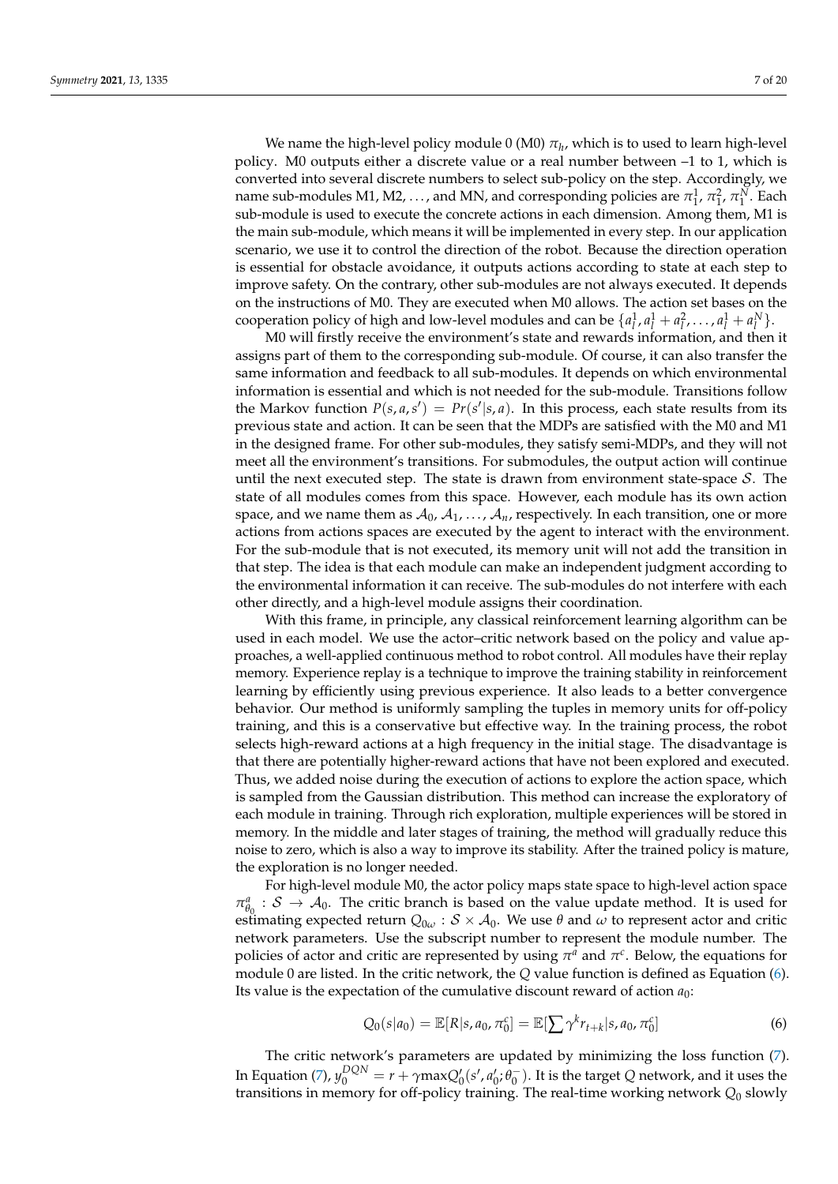We name the high-level policy module 0 (M0)  $\pi_h$ , which is to used to learn high-level policy. M0 outputs either a discrete value or a real number between –1 to 1, which is converted into several discrete numbers to select sub-policy on the step. Accordingly, we name sub-modules M1, M2, ..., and MN, and corresponding policies are  $\pi^1_1$ ,  $\pi^2_1$ ,  $\pi^N_1$ . Each sub-module is used to execute the concrete actions in each dimension. Among them, M1 is the main sub-module, which means it will be implemented in every step. In our application scenario, we use it to control the direction of the robot. Because the direction operation is essential for obstacle avoidance, it outputs actions according to state at each step to improve safety. On the contrary, other sub-modules are not always executed. It depends on the instructions of M0. They are executed when M0 allows. The action set bases on the cooperation policy of high and low-level modules and can be  $\{a_l^1, a_l^1 + a_l^2, \ldots, a_l^1 + a_l^N\}$ .

M0 will firstly receive the environment's state and rewards information, and then it assigns part of them to the corresponding sub-module. Of course, it can also transfer the same information and feedback to all sub-modules. It depends on which environmental information is essential and which is not needed for the sub-module. Transitions follow the Markov function  $P(s, a, s') = Pr(s'|s, a)$ . In this process, each state results from its previous state and action. It can be seen that the MDPs are satisfied with the M0 and M1 in the designed frame. For other sub-modules, they satisfy semi-MDPs, and they will not meet all the environment's transitions. For submodules, the output action will continue until the next executed step. The state is drawn from environment state-space  $S$ . The state of all modules comes from this space. However, each module has its own action space, and we name them as  $A_0$ ,  $A_1$ , ...,  $A_n$ , respectively. In each transition, one or more actions from actions spaces are executed by the agent to interact with the environment. For the sub-module that is not executed, its memory unit will not add the transition in that step. The idea is that each module can make an independent judgment according to the environmental information it can receive. The sub-modules do not interfere with each other directly, and a high-level module assigns their coordination.

With this frame, in principle, any classical reinforcement learning algorithm can be used in each model. We use the actor–critic network based on the policy and value approaches, a well-applied continuous method to robot control. All modules have their replay memory. Experience replay is a technique to improve the training stability in reinforcement learning by efficiently using previous experience. It also leads to a better convergence behavior. Our method is uniformly sampling the tuples in memory units for off-policy training, and this is a conservative but effective way. In the training process, the robot selects high-reward actions at a high frequency in the initial stage. The disadvantage is that there are potentially higher-reward actions that have not been explored and executed. Thus, we added noise during the execution of actions to explore the action space, which is sampled from the Gaussian distribution. This method can increase the exploratory of each module in training. Through rich exploration, multiple experiences will be stored in memory. In the middle and later stages of training, the method will gradually reduce this noise to zero, which is also a way to improve its stability. After the trained policy is mature, the exploration is no longer needed.

For high-level module M0, the actor policy maps state space to high-level action space  $\pi^a_{\theta_0}: S \to A_0$ . The critic branch is based on the value update method. It is used for estimating expected return  $Q_{0\omega}$ :  $S \times A_0$ . We use  $\theta$  and  $\omega$  to represent actor and critic network parameters. Use the subscript number to represent the module number. The policies of actor and critic are represented by using  $\pi^a$  and  $\pi^c$ . Below, the equations for module 0 are listed. In the critic network, the *Q* value function is defined as Equation [\(6\)](#page-6-0). Its value is the expectation of the cumulative discount reward of action *a*0:

<span id="page-6-0"></span>
$$
Q_0(s|a_0) = \mathbb{E}[R|s, a_0, \pi_0^c] = \mathbb{E}[\sum \gamma^k r_{t+k}|s, a_0, \pi_0^c]
$$
(6)

The critic network's parameters are updated by minimizing the loss function [\(7\)](#page-7-0). In Equation [\(7\)](#page-7-0),  $y_0^{DQN} = r + \gamma \text{max} Q_0'(s', a_0'; \theta_0^-)$ . It is the target *Q* network, and it uses the transitions in memory for off-policy training. The real-time working network *Q*<sup>0</sup> slowly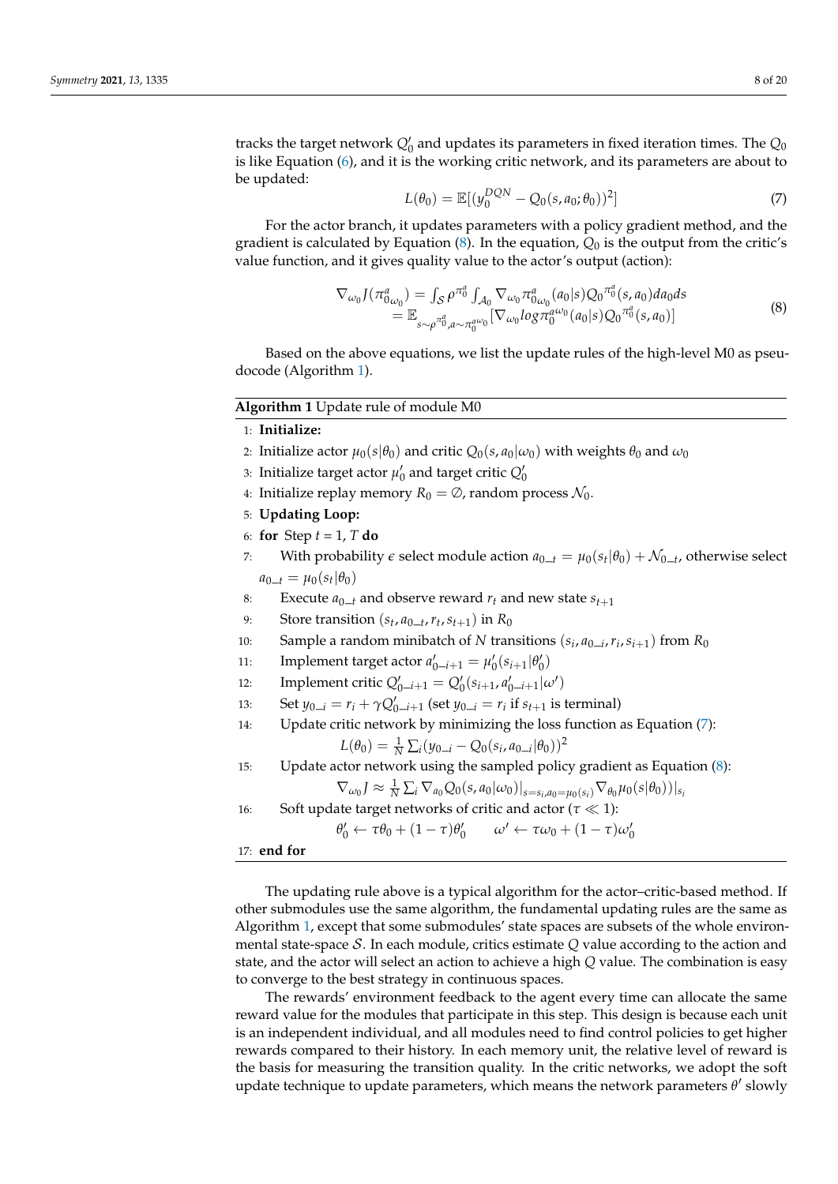tracks the target network  $Q_0'$  and updates its parameters in fixed iteration times. The  $Q_0$ is like Equation [\(6\)](#page-6-0), and it is the working critic network, and its parameters are about to be updated:

<span id="page-7-0"></span>
$$
L(\theta_0) = \mathbb{E}[(y_0^{DQN} - Q_0(s, a_0; \theta_0))^2]
$$
 (7)

For the actor branch, it updates parameters with a policy gradient method, and the gradient is calculated by Equation  $(8)$ . In the equation,  $Q_0$  is the output from the critic's value function, and it gives quality value to the actor's output (action):

<span id="page-7-1"></span>
$$
\nabla_{\omega_0} J(\pi^a_{0\omega_0}) = \int_{S} \rho^{\pi_0^a} \int_{\mathcal{A}_0} \nabla_{\omega_0} \pi^a_{0\omega_0}(a_0|s) Q_0^{\pi_0^a}(s, a_0) da_0 ds \n= \mathbb{E}_{s \sim \rho^{\pi_0^a}, a \sim \pi_0^{a\omega_0}} [\nabla_{\omega_0} log \pi_0^{a\omega_0}(a_0|s) Q_0^{\pi_0^a}(s, a_0)]
$$
\n(8)

Based on the above equations, we list the update rules of the high-level M0 as pseudocode (Algorithm [1\)](#page-7-2).

# <span id="page-7-2"></span>**Algorithm 1** Update rule of module M0

1: **Initialize:**

- 2: Initialize actor  $\mu_0(s|\theta_0)$  and critic  $Q_0(s, a_0|\omega_0)$  with weights  $\theta_0$  and  $\omega_0$
- 3: Initialize target actor  $\mu'_0$  and target critic  $Q'_0$
- 4: Initialize replay memory  $R_0 = \emptyset$ , random process  $\mathcal{N}_0$ .
- 5: **Updating Loop:**
- 6: **for** Step *t* = 1, *T* **do**
- 7: With probability  $\epsilon$  select module action  $a_{0\_t} = \mu_0(s_t | \theta_0) + \mathcal{N}_{0\_t}$ , otherwise select  $a_{0-t} = \mu_0(s_t | \theta_0)$
- 8: Execute  $a_{0}$  *t* and observe reward  $r_t$  and new state  $s_{t+1}$
- 9: Store transition  $(s_t, a_{0-t}, r_t, s_{t+1})$  in  $R_0$
- 10: Sample a random minibatch of *N* transitions ( $s_i$ ,  $a_{0-i}$ ,  $r_i$ ,  $s_{i+1}$ ) from  $R_0$
- 11: Implement target actor  $a'_{0-i+1} = \mu'_{0}(s_{i+1} | \theta'_{0})$
- 12: **Implement critic**  $Q'_{0-i+1} = Q'_{0}(s_{i+1}, a'_{0-i+1}|\omega')$
- 13: Set  $y_{0-i} = r_i + \gamma Q'_{0-i+1}$  (set  $y_{0-i} = r_i$  if  $s_{t+1}$  is terminal)
- 14: Update critic network by minimizing the loss function as Equation [\(7\)](#page-7-0):

$$
L(\theta_0) = \frac{1}{N} \sum_i (y_{0-i} - Q_0(s_i, a_{0-i}|\theta_0))^2
$$

15: Update actor network using the sampled policy gradient as Equation [\(8\)](#page-7-1):

$$
\nabla_{\omega_0} J \approx \frac{1}{N} \sum_i \nabla_{a_0} Q_0(s, a_0 | \omega_0)|_{s=s_i, a_0=\mu_0(s_i)} \nabla_{\theta_0} \mu_0(s | \theta_0))|_{s_i}
$$

16: Soft update target networks of critic and actor ( $\tau \ll 1$ ):

$$
\theta'_0 \leftarrow \tau \theta_0 + (1 - \tau)\theta'_0 \qquad \omega' \leftarrow \tau \omega_0 + (1 - \tau)\omega'_0
$$

17: **end for**

The updating rule above is a typical algorithm for the actor–critic-based method. If other submodules use the same algorithm, the fundamental updating rules are the same as Algorithm [1,](#page-7-2) except that some submodules' state spaces are subsets of the whole environmental state-space S. In each module, critics estimate *Q* value according to the action and state, and the actor will select an action to achieve a high *Q* value. The combination is easy to converge to the best strategy in continuous spaces.

The rewards' environment feedback to the agent every time can allocate the same reward value for the modules that participate in this step. This design is because each unit is an independent individual, and all modules need to find control policies to get higher rewards compared to their history. In each memory unit, the relative level of reward is the basis for measuring the transition quality. In the critic networks, we adopt the soft update technique to update parameters, which means the network parameters  $θ'$  slowly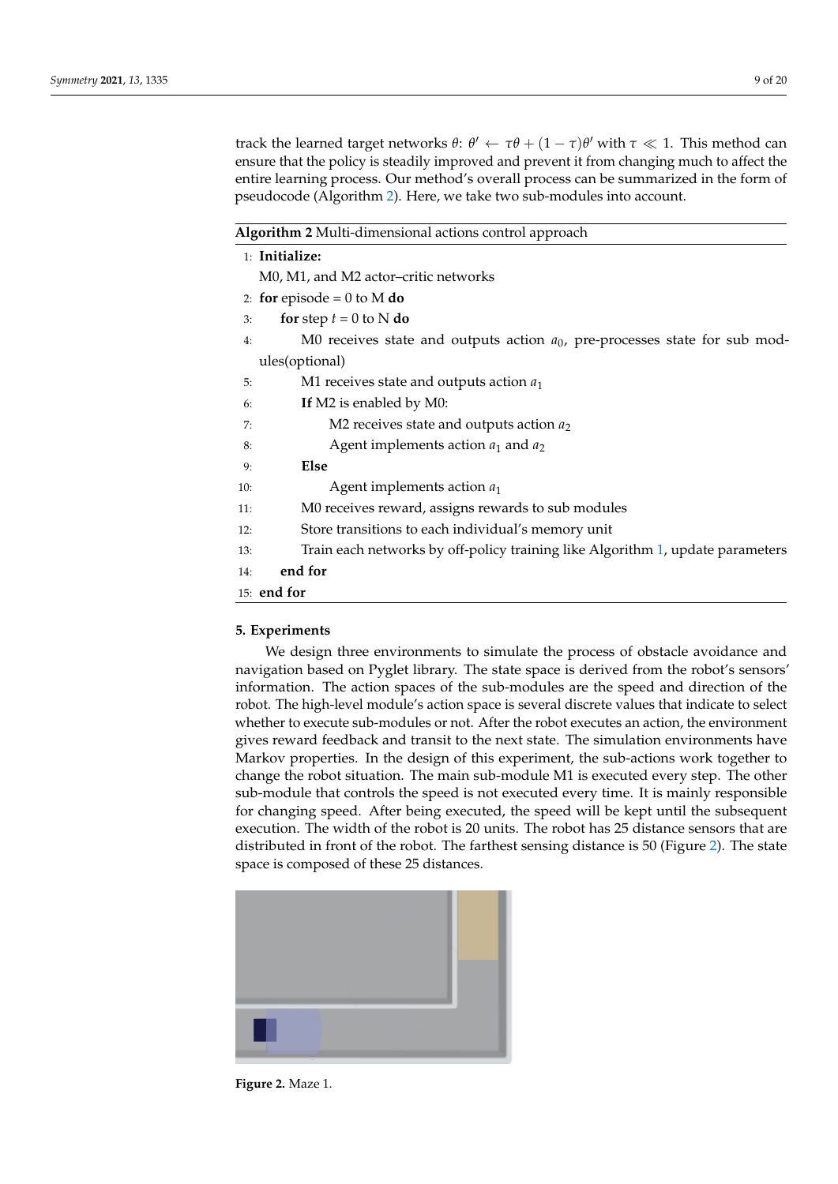track the learned target networks *θ*: *θ*' ← *τθ* +  $(1 − τ)$ *θ* $' with  $τ \ll 1$ . This method can$ ensure that the policy is steadily improved and prevent it from changing much to affect the entire learning process. Our method's overall process can be summarized in the form of pseudocode (Algorithm [2\)](#page-8-1). Here, we take two sub-modules into account.

<span id="page-8-1"></span>

M0, M1, and M2 actor–critic networks

- 2: **for** episode =  $0$  to M **do**
- 3: **for** step  $t = 0$  to N **do**
- 4: M0 receives state and outputs action *a*0, pre-processes state for sub modules(optional)
- 5: M1 receives state and outputs action *a*<sup>1</sup>
- 6: **If** M2 is enabled by M0:
- 7: M2 receives state and outputs action *a*<sup>2</sup>
- 8: Agent implements action *a*<sup>1</sup> and *a*<sup>2</sup>
- 9: **Else**
- 10: Agent implements action *a*<sup>1</sup>
- 11: M0 receives reward, assigns rewards to sub modules
- 12: Store transitions to each individual's memory unit
- 13: Train each networks by off-policy training like Algorithm [1,](#page-7-2) update parameters
- 14: **end for**
- 15: **end for**

## <span id="page-8-0"></span>**5. Experiments**

We design three environments to simulate the process of obstacle avoidance and navigation based on Pyglet library. The state space is derived from the robot's sensors' information. The action spaces of the sub-modules are the speed and direction of the robot. The high-level module's action space is several discrete values that indicate to select whether to execute sub-modules or not. After the robot executes an action, the environment gives reward feedback and transit to the next state. The simulation environments have Markov properties. In the design of this experiment, the sub-actions work together to change the robot situation. The main sub-module M1 is executed every step. The other sub-module that controls the speed is not executed every time. It is mainly responsible for changing speed. After being executed, the speed will be kept until the subsequent execution. The width of the robot is 20 units. The robot has 25 distance sensors that are distributed in front of the robot. The farthest sensing distance is 50 (Figure [2\)](#page-8-2). The state space is composed of these 25 distances.

<span id="page-8-2"></span>

**Figure 2.** Maze 1.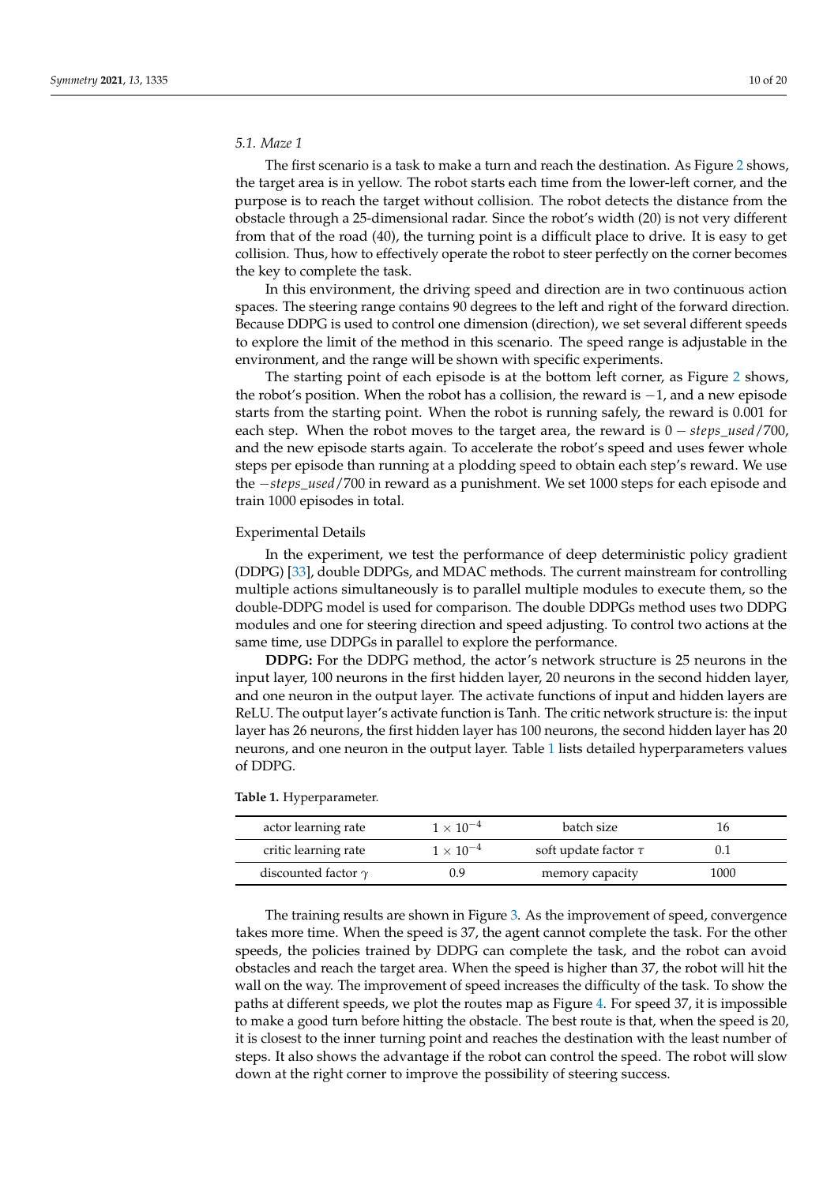## *5.1. Maze 1*

The first scenario is a task to make a turn and reach the destination. As Figure [2](#page-8-2) shows, the target area is in yellow. The robot starts each time from the lower-left corner, and the purpose is to reach the target without collision. The robot detects the distance from the obstacle through a 25-dimensional radar. Since the robot's width (20) is not very different from that of the road (40), the turning point is a difficult place to drive. It is easy to get collision. Thus, how to effectively operate the robot to steer perfectly on the corner becomes the key to complete the task.

In this environment, the driving speed and direction are in two continuous action spaces. The steering range contains 90 degrees to the left and right of the forward direction. Because DDPG is used to control one dimension (direction), we set several different speeds to explore the limit of the method in this scenario. The speed range is adjustable in the environment, and the range will be shown with specific experiments.

The starting point of each episode is at the bottom left corner, as Figure [2](#page-8-2) shows, the robot's position. When the robot has a collision, the reward is −1, and a new episode starts from the starting point. When the robot is running safely, the reward is 0.001 for each step. When the robot moves to the target area, the reward is 0 − *steps*\_*used*/700, and the new episode starts again. To accelerate the robot's speed and uses fewer whole steps per episode than running at a plodding speed to obtain each step's reward. We use the −*steps*\_*used*/700 in reward as a punishment. We set 1000 steps for each episode and train 1000 episodes in total.

### Experimental Details

In the experiment, we test the performance of deep deterministic policy gradient (DDPG) [\[33\]](#page-19-16), double DDPGs, and MDAC methods. The current mainstream for controlling multiple actions simultaneously is to parallel multiple modules to execute them, so the double-DDPG model is used for comparison. The double DDPGs method uses two DDPG modules and one for steering direction and speed adjusting. To control two actions at the same time, use DDPGs in parallel to explore the performance.

**DDPG:** For the DDPG method, the actor's network structure is 25 neurons in the input layer, 100 neurons in the first hidden layer, 20 neurons in the second hidden layer, and one neuron in the output layer. The activate functions of input and hidden layers are ReLU. The output layer's activate function is Tanh. The critic network structure is: the input layer has 26 neurons, the first hidden layer has 100 neurons, the second hidden layer has 20 neurons, and one neuron in the output layer. Table [1](#page-9-0) lists detailed hyperparameters values of DDPG.

<span id="page-9-0"></span>

|  |  | <b>Table 1.</b> Hyperparameter. |
|--|--|---------------------------------|
|--|--|---------------------------------|

| actor learning rate        | $1 \times 10^{-4}$ | batch size                |      |
|----------------------------|--------------------|---------------------------|------|
| critic learning rate       | $1 \times 10^{-4}$ | soft update factor $\tau$ |      |
| discounted factor $\gamma$ | 0.9                | memory capacity           | 1000 |

The training results are shown in Figure [3.](#page-10-0) As the improvement of speed, convergence takes more time. When the speed is 37, the agent cannot complete the task. For the other speeds, the policies trained by DDPG can complete the task, and the robot can avoid obstacles and reach the target area. When the speed is higher than 37, the robot will hit the wall on the way. The improvement of speed increases the difficulty of the task. To show the paths at different speeds, we plot the routes map as Figure [4.](#page-10-1) For speed 37, it is impossible to make a good turn before hitting the obstacle. The best route is that, when the speed is 20, it is closest to the inner turning point and reaches the destination with the least number of steps. It also shows the advantage if the robot can control the speed. The robot will slow down at the right corner to improve the possibility of steering success.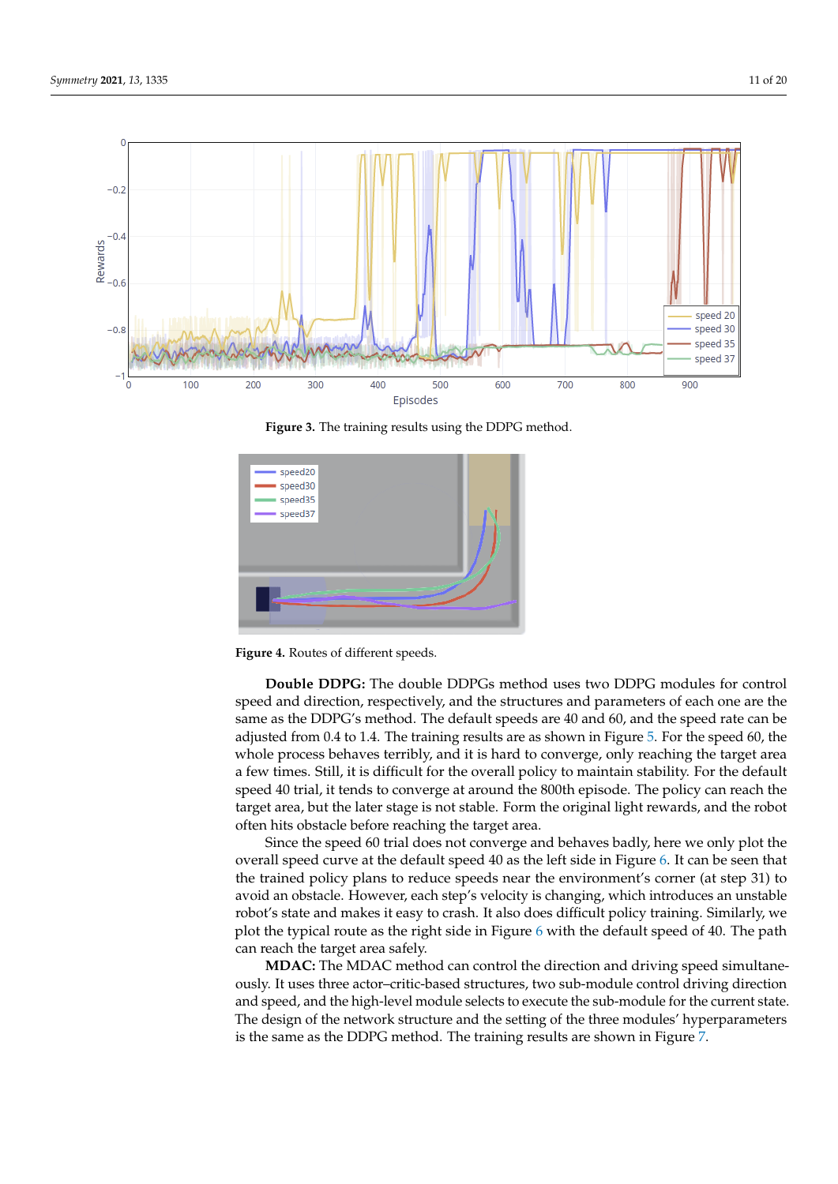<span id="page-10-0"></span>

**Figure 3.** The training results using the DDPG method.

<span id="page-10-1"></span>

**Figure 4.** Routes of different speeds.

**Double DDPG:** The double DDPGs method uses two DDPG modules for control speed and direction, respectively, and the structures and parameters of each one are the same as the DDPG's method. The default speeds are 40 and 60, and the speed rate can be adjusted from 0.4 to 1.4. The training results are as shown in Figure [5.](#page-11-0) For the speed 60, the whole process behaves terribly, and it is hard to converge, only reaching the target area a few times. Still, it is difficult for the overall policy to maintain stability. For the default speed 40 trial, it tends to converge at around the 800th episode. The policy can reach the target area, but the later stage is not stable. Form the original light rewards, and the robot often hits obstacle before reaching the target area.

Since the speed 60 trial does not converge and behaves badly, here we only plot the overall speed curve at the default speed 40 as the left side in Figure [6.](#page-11-1) It can be seen that the trained policy plans to reduce speeds near the environment's corner (at step 31) to avoid an obstacle. However, each step's velocity is changing, which introduces an unstable robot's state and makes it easy to crash. It also does difficult policy training. Similarly, we plot the typical route as the right side in Figure [6](#page-11-1) with the default speed of 40. The path can reach the target area safely.

**MDAC:** The MDAC method can control the direction and driving speed simultaneously. It uses three actor–critic-based structures, two sub-module control driving direction and speed, and the high-level module selects to execute the sub-module for the current state. The design of the network structure and the setting of the three modules' hyperparameters is the same as the DDPG method. The training results are shown in Figure [7.](#page-12-0)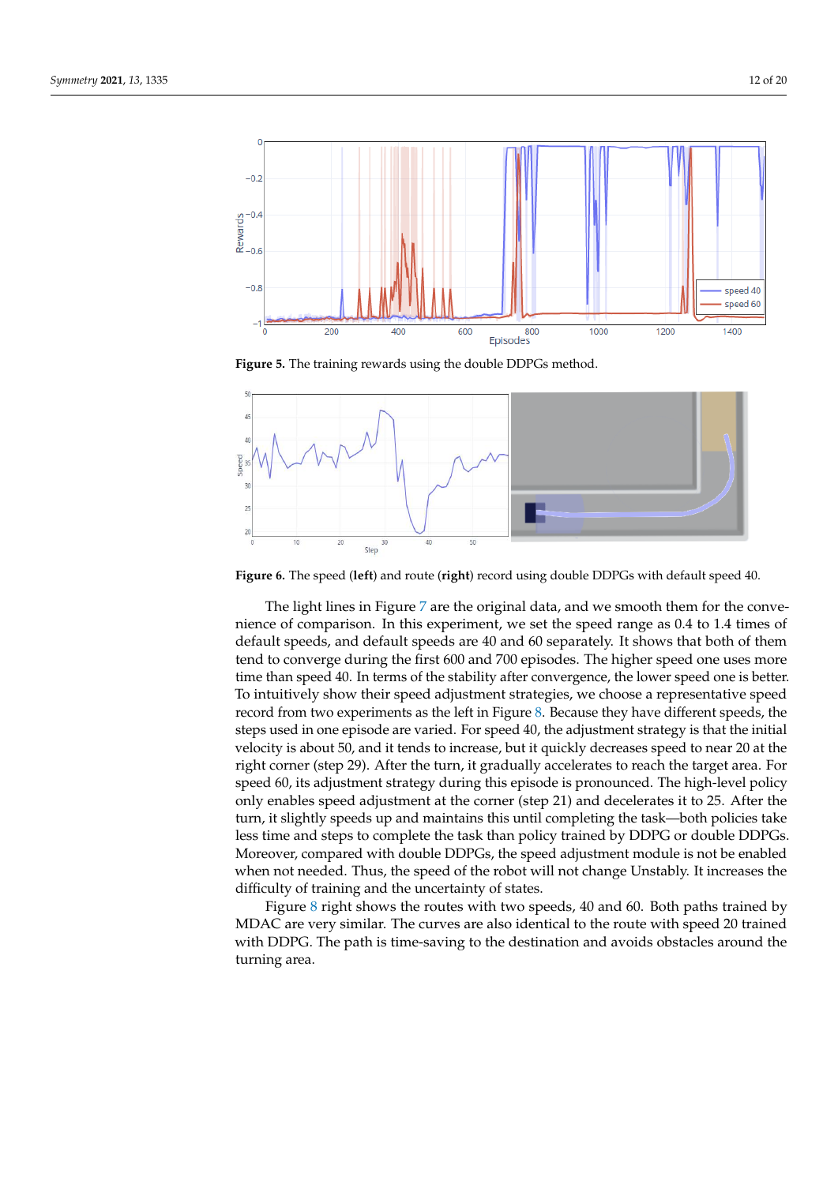<span id="page-11-0"></span>

**Figure 5.** The training rewards using the double DDPGs method.

<span id="page-11-1"></span>

**Figure 6.** The speed (**left**) and route (**right**) record using double DDPGs with default speed 40.

The light lines in Figure [7](#page-12-0) are the original data, and we smooth them for the convenience of comparison. In this experiment, we set the speed range as 0.4 to 1.4 times of default speeds, and default speeds are 40 and 60 separately. It shows that both of them tend to converge during the first 600 and 700 episodes. The higher speed one uses more time than speed 40. In terms of the stability after convergence, the lower speed one is better. To intuitively show their speed adjustment strategies, we choose a representative speed record from two experiments as the left in Figure [8.](#page-12-1) Because they have different speeds, the steps used in one episode are varied. For speed 40, the adjustment strategy is that the initial velocity is about 50, and it tends to increase, but it quickly decreases speed to near 20 at the right corner (step 29). After the turn, it gradually accelerates to reach the target area. For speed 60, its adjustment strategy during this episode is pronounced. The high-level policy only enables speed adjustment at the corner (step 21) and decelerates it to 25. After the turn, it slightly speeds up and maintains this until completing the task—both policies take less time and steps to complete the task than policy trained by DDPG or double DDPGs. Moreover, compared with double DDPGs, the speed adjustment module is not be enabled when not needed. Thus, the speed of the robot will not change Unstably. It increases the difficulty of training and the uncertainty of states.

Figure [8](#page-12-1) right shows the routes with two speeds, 40 and 60. Both paths trained by MDAC are very similar. The curves are also identical to the route with speed 20 trained with DDPG. The path is time-saving to the destination and avoids obstacles around the turning area.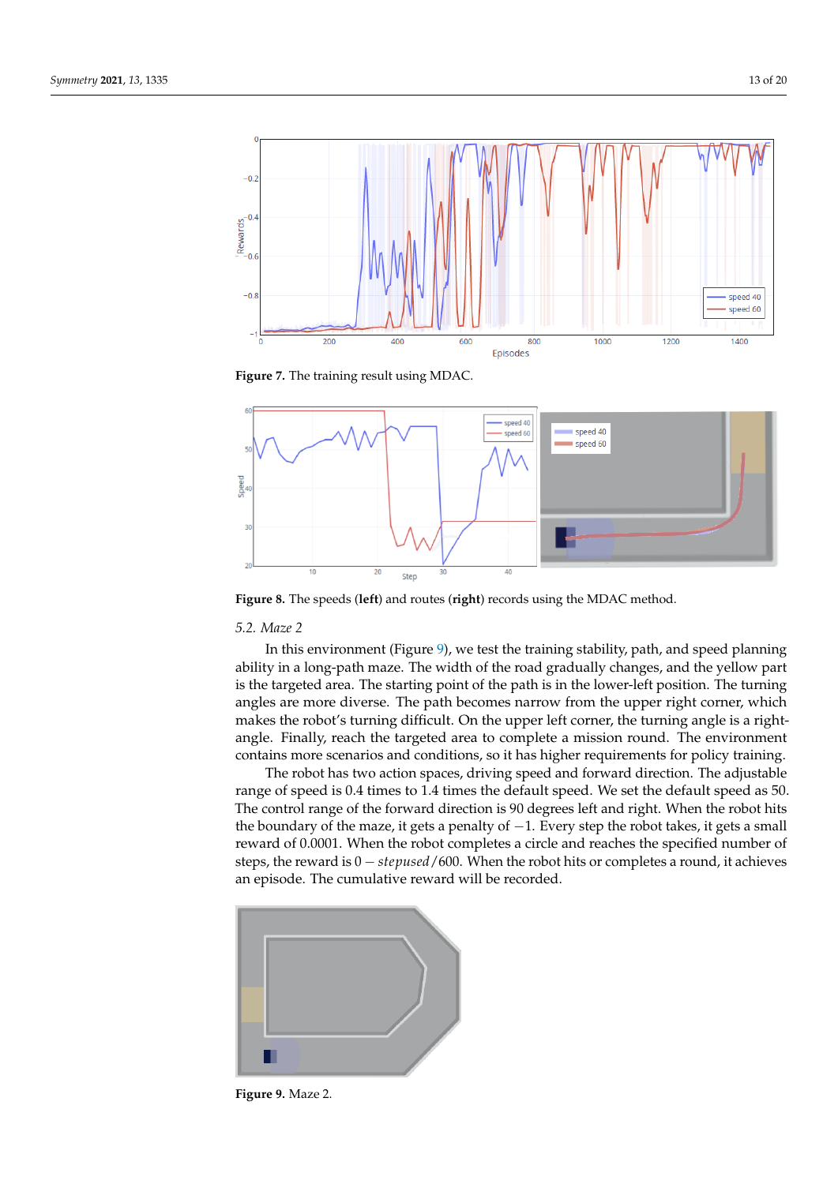<span id="page-12-0"></span>

**Figure 7.** The training result using MDAC.

<span id="page-12-1"></span>

**Figure 8.** The speeds (**left**) and routes (**right**) records using the MDAC method.

## *5.2. Maze 2*

In this environment (Figure [9\)](#page-12-2), we test the training stability, path, and speed planning ability in a long-path maze. The width of the road gradually changes, and the yellow part is the targeted area. The starting point of the path is in the lower-left position. The turning angles are more diverse. The path becomes narrow from the upper right corner, which makes the robot's turning difficult. On the upper left corner, the turning angle is a rightangle. Finally, reach the targeted area to complete a mission round. The environment contains more scenarios and conditions, so it has higher requirements for policy training.

The robot has two action spaces, driving speed and forward direction. The adjustable range of speed is 0.4 times to 1.4 times the default speed. We set the default speed as 50. The control range of the forward direction is 90 degrees left and right. When the robot hits the boundary of the maze, it gets a penalty of −1. Every step the robot takes, it gets a small reward of 0.0001. When the robot completes a circle and reaches the specified number of steps, the reward is 0 − *stepused*/600. When the robot hits or completes a round, it achieves an episode. The cumulative reward will be recorded.

<span id="page-12-2"></span>

**Figure 9.** Maze 2.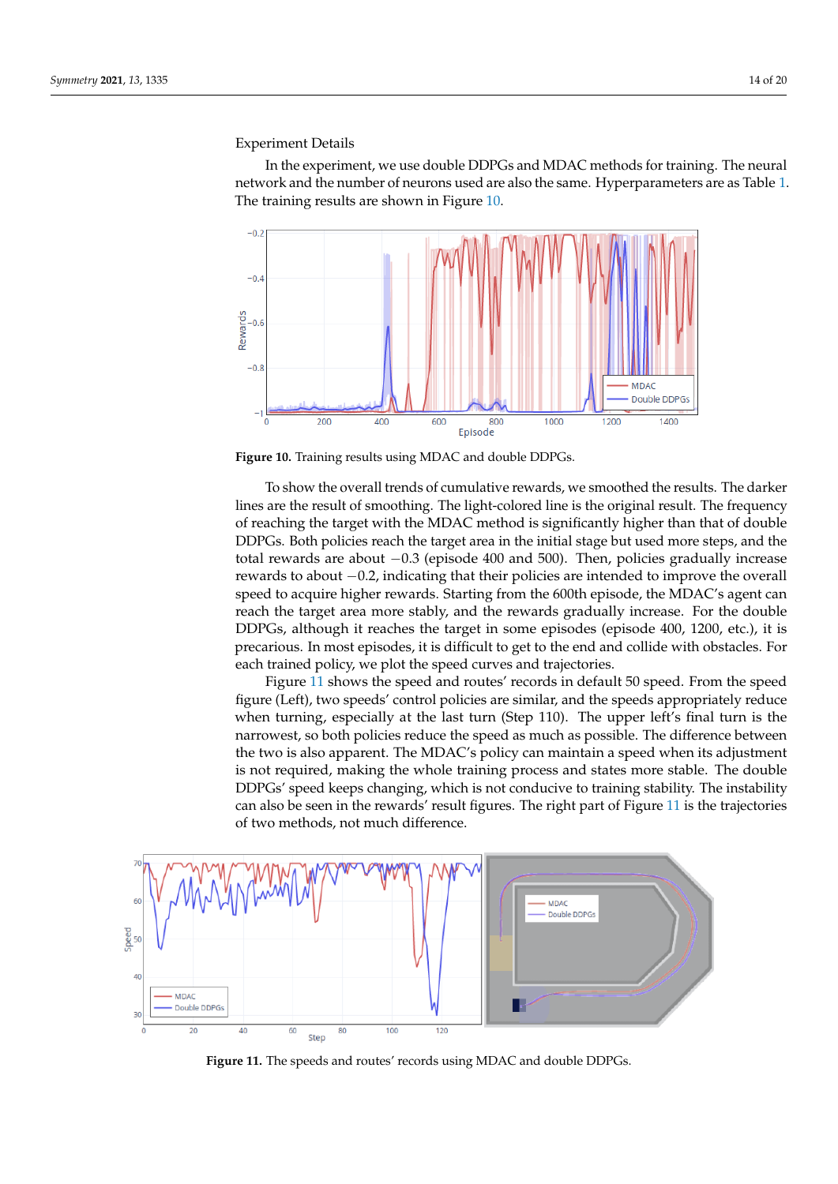# Experiment Details

In the experiment, we use double DDPGs and MDAC methods for training. The neural network and the number of neurons used are also the same. Hyperparameters are as Table [1.](#page-9-0) The training results are shown in Figure [10.](#page-13-0)

<span id="page-13-0"></span>

**Figure 10.** Training results using MDAC and double DDPGs.

To show the overall trends of cumulative rewards, we smoothed the results. The darker lines are the result of smoothing. The light-colored line is the original result. The frequency of reaching the target with the MDAC method is significantly higher than that of double DDPGs. Both policies reach the target area in the initial stage but used more steps, and the total rewards are about −0.3 (episode 400 and 500). Then, policies gradually increase rewards to about −0.2, indicating that their policies are intended to improve the overall speed to acquire higher rewards. Starting from the 600th episode, the MDAC's agent can reach the target area more stably, and the rewards gradually increase. For the double DDPGs, although it reaches the target in some episodes (episode 400, 1200, etc.), it is precarious. In most episodes, it is difficult to get to the end and collide with obstacles. For each trained policy, we plot the speed curves and trajectories.

Figure [11](#page-13-1) shows the speed and routes' records in default 50 speed. From the speed figure (Left), two speeds' control policies are similar, and the speeds appropriately reduce when turning, especially at the last turn (Step 110). The upper left's final turn is the narrowest, so both policies reduce the speed as much as possible. The difference between the two is also apparent. The MDAC's policy can maintain a speed when its adjustment is not required, making the whole training process and states more stable. The double DDPGs' speed keeps changing, which is not conducive to training stability. The instability can also be seen in the rewards' result figures. The right part of Figure [11](#page-13-1) is the trajectories of two methods, not much difference.

<span id="page-13-1"></span>

**Figure 11.** The speeds and routes' records using MDAC and double DDPGs.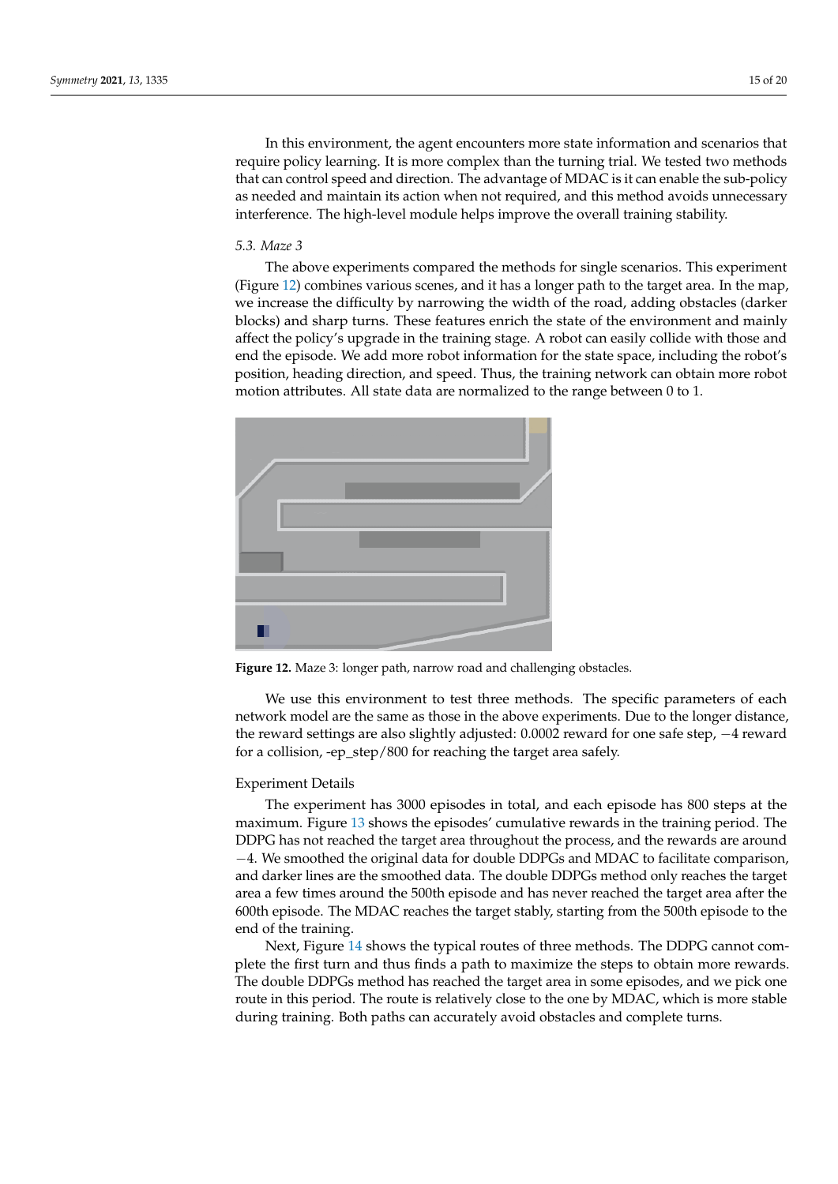In this environment, the agent encounters more state information and scenarios that require policy learning. It is more complex than the turning trial. We tested two methods that can control speed and direction. The advantage of MDAC is it can enable the sub-policy as needed and maintain its action when not required, and this method avoids unnecessary interference. The high-level module helps improve the overall training stability.

## *5.3. Maze 3*

The above experiments compared the methods for single scenarios. This experiment (Figure [12\)](#page-14-0) combines various scenes, and it has a longer path to the target area. In the map, we increase the difficulty by narrowing the width of the road, adding obstacles (darker blocks) and sharp turns. These features enrich the state of the environment and mainly affect the policy's upgrade in the training stage. A robot can easily collide with those and end the episode. We add more robot information for the state space, including the robot's position, heading direction, and speed. Thus, the training network can obtain more robot motion attributes. All state data are normalized to the range between 0 to 1.

<span id="page-14-0"></span>

**Figure 12.** Maze 3: longer path, narrow road and challenging obstacles.

We use this environment to test three methods. The specific parameters of each network model are the same as those in the above experiments. Due to the longer distance, the reward settings are also slightly adjusted: 0.0002 reward for one safe step, −4 reward for a collision, -ep\_step/800 for reaching the target area safely.

#### Experiment Details

The experiment has 3000 episodes in total, and each episode has 800 steps at the maximum. Figure [13](#page-15-0) shows the episodes' cumulative rewards in the training period. The DDPG has not reached the target area throughout the process, and the rewards are around −4. We smoothed the original data for double DDPGs and MDAC to facilitate comparison, and darker lines are the smoothed data. The double DDPGs method only reaches the target area a few times around the 500th episode and has never reached the target area after the 600th episode. The MDAC reaches the target stably, starting from the 500th episode to the end of the training.

Next, Figure [14](#page-15-1) shows the typical routes of three methods. The DDPG cannot complete the first turn and thus finds a path to maximize the steps to obtain more rewards. The double DDPGs method has reached the target area in some episodes, and we pick one route in this period. The route is relatively close to the one by MDAC, which is more stable during training. Both paths can accurately avoid obstacles and complete turns.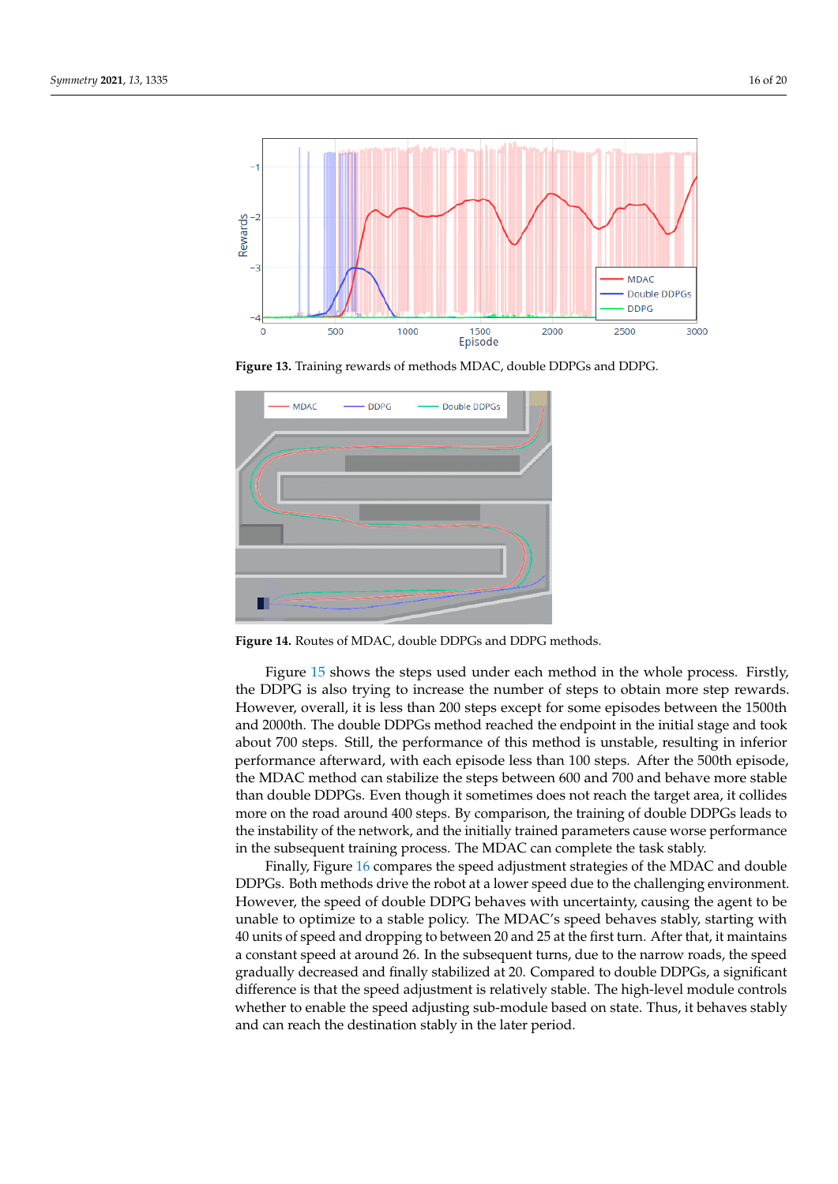<span id="page-15-0"></span>

Figure 13. Training rewards of methods MDAC, double DDPGs and DDPG.

<span id="page-15-1"></span>

Figure 14. Routes of MDAC, double DDPGs and DDPG methods.

Figure [15](#page-16-1) shows the steps used under each method in the whole process. Firstly, the DDPG is also trying to increase the number of steps to obtain more step rewards. However, overall, it is less than 200 steps except for some episodes between the 1500th and 2000th. The double DDPGs method reached the endpoint in the initial stage and took about 700 steps. Still, the performance of this method is unstable, resulting in inferior performance afterward, with each episode less than 100 steps. After the 500th episode, the MDAC method can stabilize the steps between 600 and 700 and behave more stable than double DDPGs. Even though it sometimes does not reach the target area, it collides more on the road around 400 steps. By comparison, the training of double DDPGs leads to the instability of the network, and the initially trained parameters cause worse performance in the subsequent training process. The MDAC can complete the task stably.

Finally, Figure [16](#page-16-2) compares the speed adjustment strategies of the MDAC and double DDPGs. Both methods drive the robot at a lower speed due to the challenging environment. However, the speed of double DDPG behaves with uncertainty, causing the agent to be unable to optimize to a stable policy. The MDAC's speed behaves stably, starting with 40 units of speed and dropping to between 20 and 25 at the first turn. After that, it maintains a constant speed at around 26. In the subsequent turns, due to the narrow roads, the speed gradually decreased and finally stabilized at 20. Compared to double DDPGs, a significant difference is that the speed adjustment is relatively stable. The high-level module controls whether to enable the speed adjusting sub-module based on state. Thus, it behaves stably and can reach the destination stably in the later period.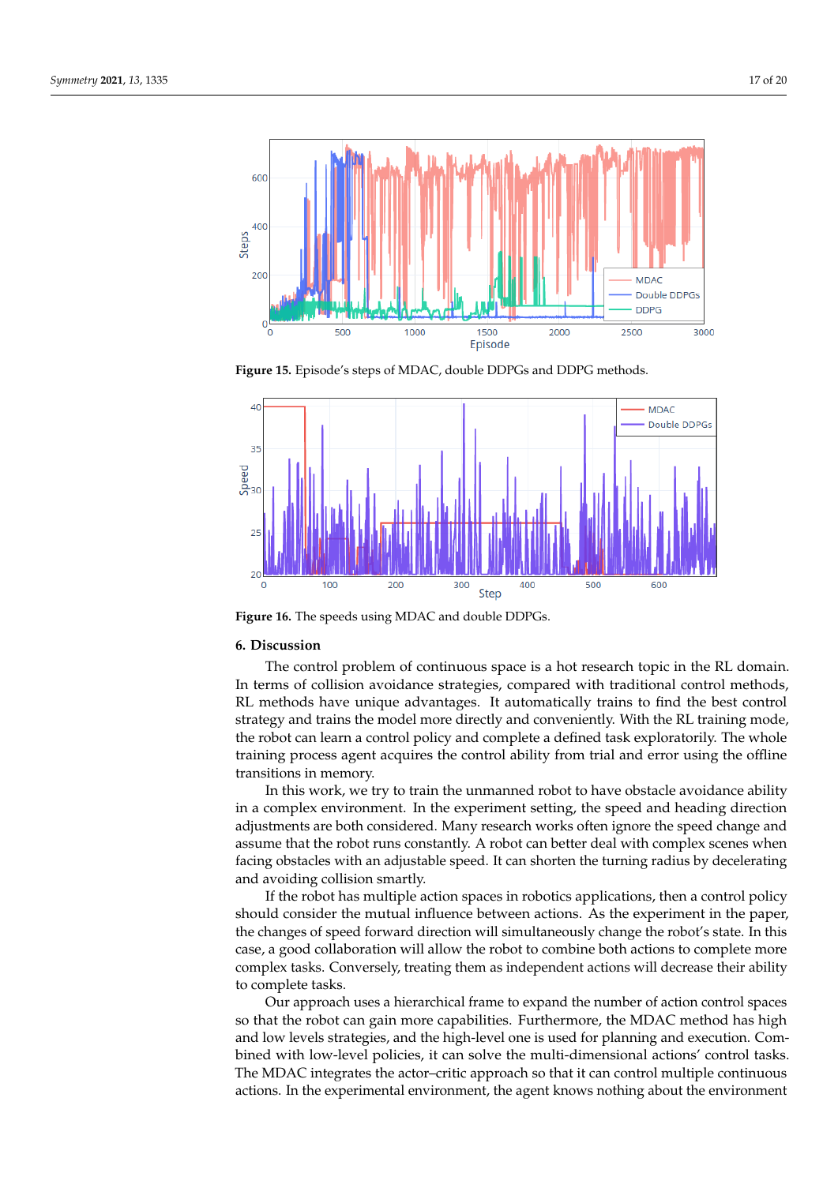<span id="page-16-1"></span>

**Figure 15.** Episode's steps of MDAC, double DDPGs and DDPG methods.

<span id="page-16-2"></span>

**Figure 16.** The speeds using MDAC and double DDPGs.

## <span id="page-16-0"></span>**6. Discussion**

The control problem of continuous space is a hot research topic in the RL domain. In terms of collision avoidance strategies, compared with traditional control methods, RL methods have unique advantages. It automatically trains to find the best control strategy and trains the model more directly and conveniently. With the RL training mode, the robot can learn a control policy and complete a defined task exploratorily. The whole training process agent acquires the control ability from trial and error using the offline transitions in memory.

In this work, we try to train the unmanned robot to have obstacle avoidance ability in a complex environment. In the experiment setting, the speed and heading direction adjustments are both considered. Many research works often ignore the speed change and assume that the robot runs constantly. A robot can better deal with complex scenes when facing obstacles with an adjustable speed. It can shorten the turning radius by decelerating and avoiding collision smartly.

If the robot has multiple action spaces in robotics applications, then a control policy should consider the mutual influence between actions. As the experiment in the paper, the changes of speed forward direction will simultaneously change the robot's state. In this case, a good collaboration will allow the robot to combine both actions to complete more complex tasks. Conversely, treating them as independent actions will decrease their ability to complete tasks.

Our approach uses a hierarchical frame to expand the number of action control spaces so that the robot can gain more capabilities. Furthermore, the MDAC method has high and low levels strategies, and the high-level one is used for planning and execution. Combined with low-level policies, it can solve the multi-dimensional actions' control tasks. The MDAC integrates the actor–critic approach so that it can control multiple continuous actions. In the experimental environment, the agent knows nothing about the environment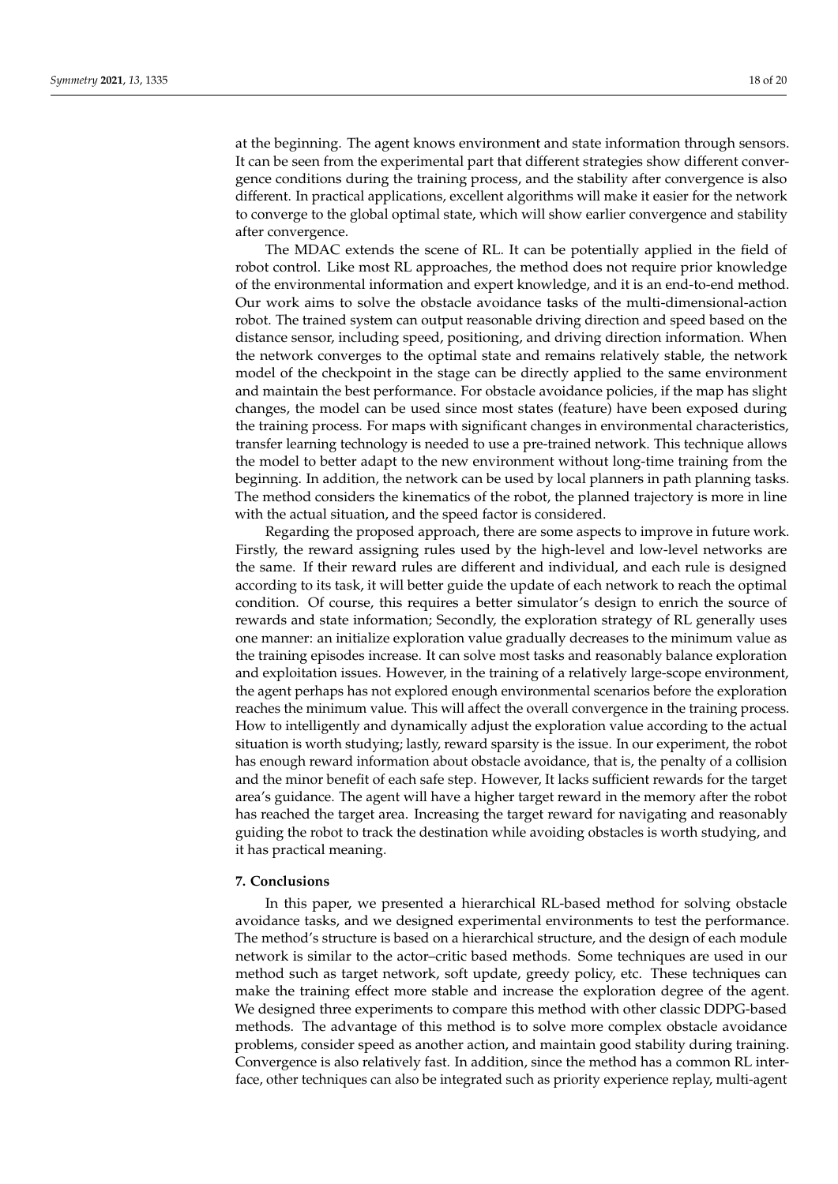at the beginning. The agent knows environment and state information through sensors. It can be seen from the experimental part that different strategies show different convergence conditions during the training process, and the stability after convergence is also different. In practical applications, excellent algorithms will make it easier for the network to converge to the global optimal state, which will show earlier convergence and stability after convergence.

The MDAC extends the scene of RL. It can be potentially applied in the field of robot control. Like most RL approaches, the method does not require prior knowledge of the environmental information and expert knowledge, and it is an end-to-end method. Our work aims to solve the obstacle avoidance tasks of the multi-dimensional-action robot. The trained system can output reasonable driving direction and speed based on the distance sensor, including speed, positioning, and driving direction information. When the network converges to the optimal state and remains relatively stable, the network model of the checkpoint in the stage can be directly applied to the same environment and maintain the best performance. For obstacle avoidance policies, if the map has slight changes, the model can be used since most states (feature) have been exposed during the training process. For maps with significant changes in environmental characteristics, transfer learning technology is needed to use a pre-trained network. This technique allows the model to better adapt to the new environment without long-time training from the beginning. In addition, the network can be used by local planners in path planning tasks. The method considers the kinematics of the robot, the planned trajectory is more in line with the actual situation, and the speed factor is considered.

Regarding the proposed approach, there are some aspects to improve in future work. Firstly, the reward assigning rules used by the high-level and low-level networks are the same. If their reward rules are different and individual, and each rule is designed according to its task, it will better guide the update of each network to reach the optimal condition. Of course, this requires a better simulator's design to enrich the source of rewards and state information; Secondly, the exploration strategy of RL generally uses one manner: an initialize exploration value gradually decreases to the minimum value as the training episodes increase. It can solve most tasks and reasonably balance exploration and exploitation issues. However, in the training of a relatively large-scope environment, the agent perhaps has not explored enough environmental scenarios before the exploration reaches the minimum value. This will affect the overall convergence in the training process. How to intelligently and dynamically adjust the exploration value according to the actual situation is worth studying; lastly, reward sparsity is the issue. In our experiment, the robot has enough reward information about obstacle avoidance, that is, the penalty of a collision and the minor benefit of each safe step. However, It lacks sufficient rewards for the target area's guidance. The agent will have a higher target reward in the memory after the robot has reached the target area. Increasing the target reward for navigating and reasonably guiding the robot to track the destination while avoiding obstacles is worth studying, and it has practical meaning.

#### <span id="page-17-0"></span>**7. Conclusions**

In this paper, we presented a hierarchical RL-based method for solving obstacle avoidance tasks, and we designed experimental environments to test the performance. The method's structure is based on a hierarchical structure, and the design of each module network is similar to the actor–critic based methods. Some techniques are used in our method such as target network, soft update, greedy policy, etc. These techniques can make the training effect more stable and increase the exploration degree of the agent. We designed three experiments to compare this method with other classic DDPG-based methods. The advantage of this method is to solve more complex obstacle avoidance problems, consider speed as another action, and maintain good stability during training. Convergence is also relatively fast. In addition, since the method has a common RL interface, other techniques can also be integrated such as priority experience replay, multi-agent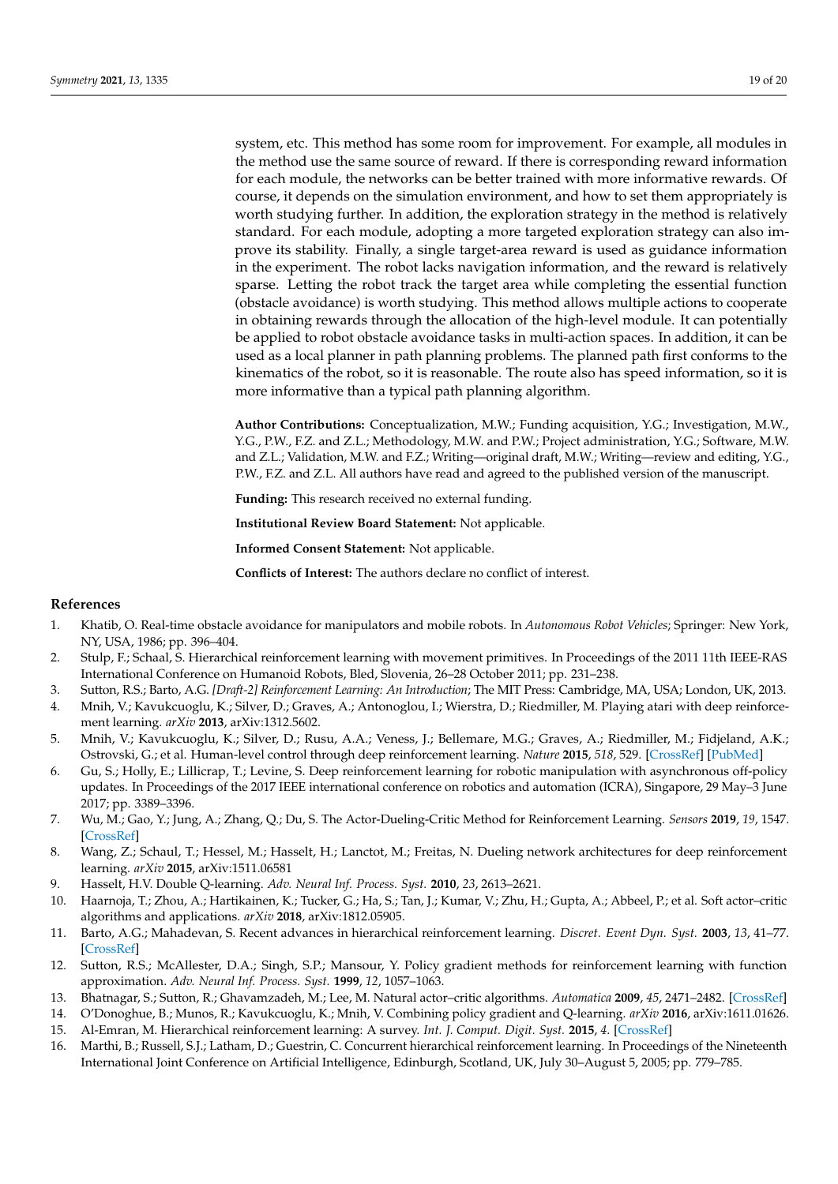system, etc. This method has some room for improvement. For example, all modules in the method use the same source of reward. If there is corresponding reward information for each module, the networks can be better trained with more informative rewards. Of course, it depends on the simulation environment, and how to set them appropriately is worth studying further. In addition, the exploration strategy in the method is relatively standard. For each module, adopting a more targeted exploration strategy can also improve its stability. Finally, a single target-area reward is used as guidance information in the experiment. The robot lacks navigation information, and the reward is relatively sparse. Letting the robot track the target area while completing the essential function (obstacle avoidance) is worth studying. This method allows multiple actions to cooperate in obtaining rewards through the allocation of the high-level module. It can potentially be applied to robot obstacle avoidance tasks in multi-action spaces. In addition, it can be used as a local planner in path planning problems. The planned path first conforms to the kinematics of the robot, so it is reasonable. The route also has speed information, so it is more informative than a typical path planning algorithm.

**Author Contributions:** Conceptualization, M.W.; Funding acquisition, Y.G.; Investigation, M.W., Y.G., P.W., F.Z. and Z.L.; Methodology, M.W. and P.W.; Project administration, Y.G.; Software, M.W. and Z.L.; Validation, M.W. and F.Z.; Writing—original draft, M.W.; Writing—review and editing, Y.G., P.W., F.Z. and Z.L. All authors have read and agreed to the published version of the manuscript.

**Funding:** This research received no external funding.

**Institutional Review Board Statement:** Not applicable.

**Informed Consent Statement:** Not applicable.

**Conflicts of Interest:** The authors declare no conflict of interest.

# **References**

- <span id="page-18-0"></span>1. Khatib, O. Real-time obstacle avoidance for manipulators and mobile robots. In *Autonomous Robot Vehicles*; Springer: New York, NY, USA, 1986; pp. 396–404.
- <span id="page-18-1"></span>2. Stulp, F.; Schaal, S. Hierarchical reinforcement learning with movement primitives. In Proceedings of the 2011 11th IEEE-RAS International Conference on Humanoid Robots, Bled, Slovenia, 26–28 October 2011; pp. 231–238.
- <span id="page-18-2"></span>3. Sutton, R.S.; Barto, A.G. *[Draft-2] Reinforcement Learning: An Introduction*; The MIT Press: Cambridge, MA, USA; London, UK, 2013.
- <span id="page-18-3"></span>4. Mnih, V.; Kavukcuoglu, K.; Silver, D.; Graves, A.; Antonoglou, I.; Wierstra, D.; Riedmiller, M. Playing atari with deep reinforcement learning. *arXiv* **2013**, arXiv:1312.5602.
- <span id="page-18-4"></span>5. Mnih, V.; Kavukcuoglu, K.; Silver, D.; Rusu, A.A.; Veness, J.; Bellemare, M.G.; Graves, A.; Riedmiller, M.; Fidjeland, A.K.; Ostrovski, G.; et al. Human-level control through deep reinforcement learning. *Nature* **2015**, *518*, 529. [\[CrossRef\]](http://doi.org/10.1038/nature14236) [\[PubMed\]](http://www.ncbi.nlm.nih.gov/pubmed/25719670)
- <span id="page-18-5"></span>6. Gu, S.; Holly, E.; Lillicrap, T.; Levine, S. Deep reinforcement learning for robotic manipulation with asynchronous off-policy updates. In Proceedings of the 2017 IEEE international conference on robotics and automation (ICRA), Singapore, 29 May–3 June 2017; pp. 3389–3396.
- <span id="page-18-6"></span>7. Wu, M.; Gao, Y.; Jung, A.; Zhang, Q.; Du, S. The Actor-Dueling-Critic Method for Reinforcement Learning. *Sensors* **2019**, *19*, 1547. [\[CrossRef\]](http://dx.doi.org/10.3390/s19071547)
- <span id="page-18-7"></span>8. Wang, Z.; Schaul, T.; Hessel, M.; Hasselt, H.; Lanctot, M.; Freitas, N. Dueling network architectures for deep reinforcement learning. *arXiv* **2015**, arXiv:1511.06581
- <span id="page-18-8"></span>9. Hasselt, H.V. Double Q-learning. *Adv. Neural Inf. Process. Syst.* **2010**, *23*, 2613–2621.
- <span id="page-18-9"></span>10. Haarnoja, T.; Zhou, A.; Hartikainen, K.; Tucker, G.; Ha, S.; Tan, J.; Kumar, V.; Zhu, H.; Gupta, A.; Abbeel, P.; et al. Soft actor–critic algorithms and applications. *arXiv* **2018**, arXiv:1812.05905.
- <span id="page-18-10"></span>11. Barto, A.G.; Mahadevan, S. Recent advances in hierarchical reinforcement learning. *Discret. Event Dyn. Syst.* **2003**, *13*, 41–77. [\[CrossRef\]](http://dx.doi.org/10.1023/A:1022140919877)
- <span id="page-18-11"></span>12. Sutton, R.S.; McAllester, D.A.; Singh, S.P.; Mansour, Y. Policy gradient methods for reinforcement learning with function approximation. *Adv. Neural Inf. Process. Syst.* **1999**, *12*, 1057–1063.
- <span id="page-18-12"></span>13. Bhatnagar, S.; Sutton, R.; Ghavamzadeh, M.; Lee, M. Natural actor–critic algorithms. *Automatica* **2009**, *45*, 2471–2482. [\[CrossRef\]](http://dx.doi.org/10.1016/j.automatica.2009.07.008)
- <span id="page-18-13"></span>14. O'Donoghue, B.; Munos, R.; Kavukcuoglu, K.; Mnih, V. Combining policy gradient and Q-learning. *arXiv* **2016**, arXiv:1611.01626.
- <span id="page-18-14"></span>15. Al-Emran, M. Hierarchical reinforcement learning: A survey. *Int. J. Comput. Digit. Syst.* **2015**, *4*. [\[CrossRef\]](http://dx.doi.org/10.12785/ijcds/040207)
- <span id="page-18-15"></span>16. Marthi, B.; Russell, S.J.; Latham, D.; Guestrin, C. Concurrent hierarchical reinforcement learning. In Proceedings of the Nineteenth International Joint Conference on Artificial Intelligence, Edinburgh, Scotland, UK, July 30–August 5, 2005; pp. 779–785.